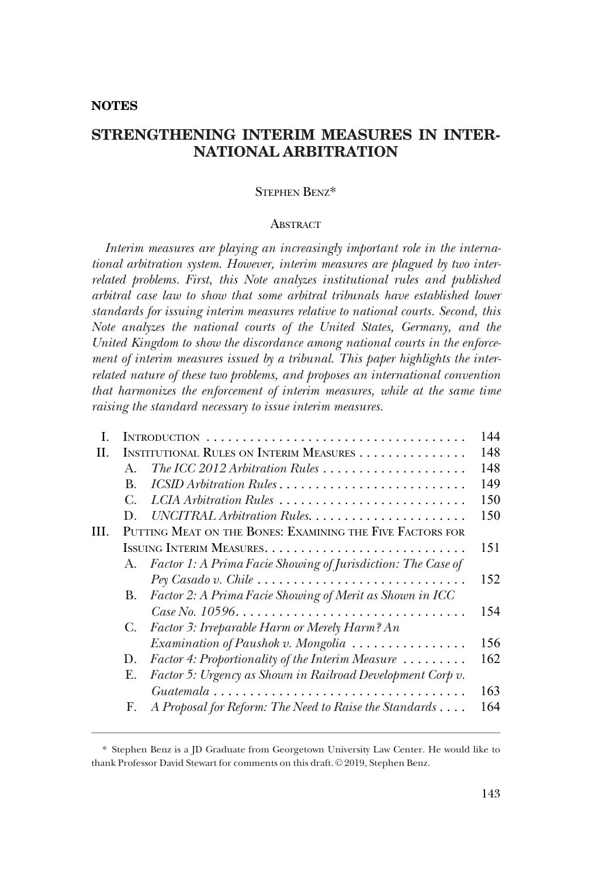# **NOTES**

# **STRENGTHENING INTERIM MEASURES IN INTER-NATIONAL ARBITRATION**

#### STEPHEN BENZ\*

#### **ABSTRACT**

*Interim measures are playing an increasingly important role in the international arbitration system. However, interim measures are plagued by two interrelated problems. First, this Note analyzes institutional rules and published arbitral case law to show that some arbitral tribunals have established lower standards for issuing interim measures relative to national courts. Second, this Note analyzes the national courts of the United States, Germany, and the United Kingdom to show the discordance among national courts in the enforcement of interim measures issued by a tribunal. This paper highlights the interrelated nature of these two problems, and proposes an international convention that harmonizes the enforcement of interim measures, while at the same time raising the standard necessary to issue interim measures.* 

| L   |                                                           |                                                                         | 144 |
|-----|-----------------------------------------------------------|-------------------------------------------------------------------------|-----|
| H   | INSTITUTIONAL RULES ON INTERIM MEASURES                   |                                                                         | 148 |
|     | $\mathbf{A}$                                              | The ICC 2012 Arbitration Rules                                          | 148 |
|     | B.                                                        | ICSID Arbitration Rules                                                 | 149 |
|     | С.                                                        | LCIA Arbitration Rules                                                  | 150 |
|     | D.                                                        |                                                                         | 150 |
| HI. | PUTTING MEAT ON THE BONES: EXAMINING THE FIVE FACTORS FOR |                                                                         |     |
|     |                                                           |                                                                         | 151 |
|     | A.                                                        | Factor 1: A Prima Facie Showing of Jurisdiction: The Case of            |     |
|     |                                                           |                                                                         | 152 |
|     | B.                                                        | Factor 2: A Prima Facie Showing of Merit as Shown in ICC                |     |
|     |                                                           |                                                                         | 154 |
|     | C.                                                        | Factor 3: Irreparable Harm or Merely Harm? An                           |     |
|     |                                                           | Examination of Paushok v. Mongolia                                      | 156 |
|     | D.                                                        | <i>Factor 4: Proportionality of the Interim Measure</i> $\ldots \ldots$ | 162 |
|     | Е.                                                        | Factor 5: Urgency as Shown in Railroad Development Corp v.              |     |
|     |                                                           |                                                                         | 163 |
|     | F.                                                        | A Proposal for Reform: The Need to Raise the Standards                  | 164 |
|     |                                                           |                                                                         |     |

<sup>\*</sup> Stephen Benz is a JD Graduate from Georgetown University Law Center. He would like to thank Professor David Stewart for comments on this draft. © 2019, Stephen Benz.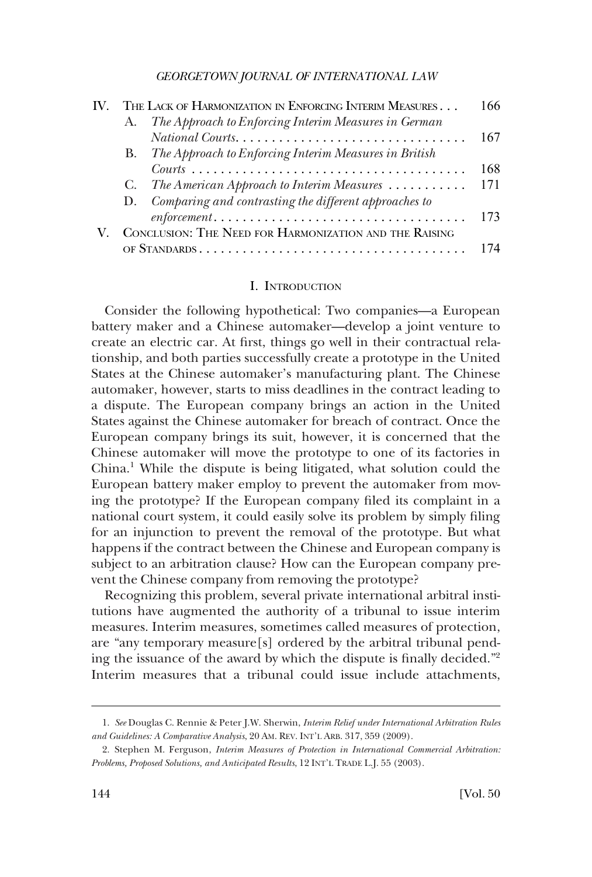<span id="page-1-0"></span>

|  | THE LACK OF HARMONIZATION IN ENFORCING INTERIM MEASURES |                                                                                                   |     |
|--|---------------------------------------------------------|---------------------------------------------------------------------------------------------------|-----|
|  | А.                                                      | The Approach to Enforcing Interim Measures in German                                              |     |
|  |                                                         |                                                                                                   | 167 |
|  |                                                         | B. The Approach to Enforcing Interim Measures in British                                          |     |
|  |                                                         |                                                                                                   | 168 |
|  |                                                         | C. The American Approach to Interim Measures                                                      | 171 |
|  |                                                         | D. Comparing and contrasting the different approaches to                                          |     |
|  |                                                         | $enforcement \ldots \ldots \ldots \ldots \ldots \ldots \ldots \ldots \ldots \ldots \ldots \ldots$ | 173 |
|  | CONCLUSION: THE NEED FOR HARMONIZATION AND THE RAISING  |                                                                                                   |     |
|  |                                                         |                                                                                                   | 174 |

# I. INTRODUCTION

Consider the following hypothetical: Two companies—a European battery maker and a Chinese automaker—develop a joint venture to create an electric car. At first, things go well in their contractual relationship, and both parties successfully create a prototype in the United States at the Chinese automaker's manufacturing plant. The Chinese automaker, however, starts to miss deadlines in the contract leading to a dispute. The European company brings an action in the United States against the Chinese automaker for breach of contract. Once the European company brings its suit, however, it is concerned that the Chinese automaker will move the prototype to one of its factories in China.<sup>1</sup> While the dispute is being litigated, what solution could the European battery maker employ to prevent the automaker from moving the prototype? If the European company filed its complaint in a national court system, it could easily solve its problem by simply filing for an injunction to prevent the removal of the prototype. But what happens if the contract between the Chinese and European company is subject to an arbitration clause? How can the European company prevent the Chinese company from removing the prototype?

Recognizing this problem, several private international arbitral institutions have augmented the authority of a tribunal to issue interim measures. Interim measures, sometimes called measures of protection, are "any temporary measure[s] ordered by the arbitral tribunal pending the issuance of the award by which the dispute is finally decided."2 Interim measures that a tribunal could issue include attachments,

<sup>1.</sup> *See* Douglas C. Rennie & Peter J.W. Sherwin, *Interim Relief under International Arbitration Rules and Guidelines: A Comparative Analysis*, 20 AM. REV. INT'L ARB. 317, 359 (2009).

<sup>2.</sup> Stephen M. Ferguson, *Interim Measures of Protection in International Commercial Arbitration: Problems, Proposed Solutions, and Anticipated Results*, 12 INT'L TRADE L.J. 55 (2003).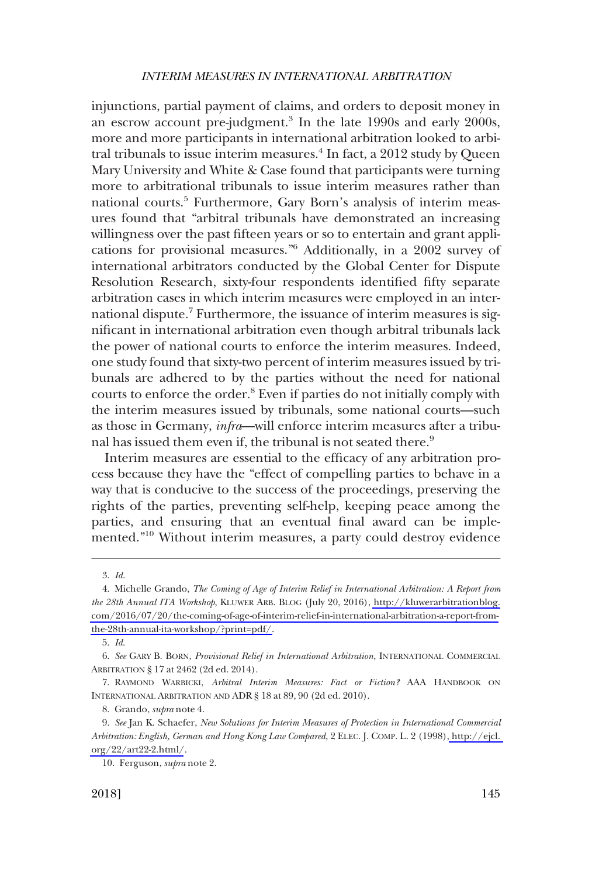injunctions, partial payment of claims, and orders to deposit money in an escrow account pre-judgment.<sup>3</sup> In the late 1990s and early 2000s, more and more participants in international arbitration looked to arbitral tribunals to issue interim measures. $4$  In fact, a 2012 study by Queen Mary University and White & Case found that participants were turning more to arbitrational tribunals to issue interim measures rather than national courts.<sup>5</sup> Furthermore, Gary Born's analysis of interim measures found that "arbitral tribunals have demonstrated an increasing willingness over the past fifteen years or so to entertain and grant applications for provisional measures."6 Additionally, in a 2002 survey of international arbitrators conducted by the Global Center for Dispute Resolution Research, sixty-four respondents identified fifty separate arbitration cases in which interim measures were employed in an international dispute.<sup>7</sup> Furthermore, the issuance of interim measures is significant in international arbitration even though arbitral tribunals lack the power of national courts to enforce the interim measures. Indeed, one study found that sixty-two percent of interim measures issued by tribunals are adhered to by the parties without the need for national courts to enforce the order.8 Even if parties do not initially comply with the interim measures issued by tribunals, some national courts—such as those in Germany, *infra*—will enforce interim measures after a tribunal has issued them even if, the tribunal is not seated there.<sup>9</sup>

Interim measures are essential to the efficacy of any arbitration process because they have the "effect of compelling parties to behave in a way that is conducive to the success of the proceedings, preserving the rights of the parties, preventing self-help, keeping peace among the parties, and ensuring that an eventual final award can be implemented."10 Without interim measures, a party could destroy evidence

<sup>3.</sup> *Id*.

Michelle Grando, *The Coming of Age of Interim Relief in International Arbitration: A Report from*  4. *the 28th Annual ITA Workshop*, KLUWER ARB. BLOG (July 20, 2016), [http://kluwerarbitrationblog.](http://kluwerarbitrationblog.com/2016/07/20/the-coming-of-age-of-interim-relief-in-international-arbitration-a-report-from-the-28th-annual-ita-workshop/?print=pdf/) [com/2016/07/20/the-coming-of-age-of-interim-relief-in-international-arbitration-a-report-from](http://kluwerarbitrationblog.com/2016/07/20/the-coming-of-age-of-interim-relief-in-international-arbitration-a-report-from-the-28th-annual-ita-workshop/?print=pdf/)[the-28th-annual-ita-workshop/?print=pdf/.](http://kluwerarbitrationblog.com/2016/07/20/the-coming-of-age-of-interim-relief-in-international-arbitration-a-report-from-the-28th-annual-ita-workshop/?print=pdf/)

<sup>5.</sup> *Id*.

<sup>6.</sup> *See* GARY B. BORN, *Provisional Relief in International Arbitration*, INTERNATIONAL COMMERCIAL ARBITRATION § 17 at 2462 (2d ed. 2014).

<sup>7.</sup> RAYMOND WARBICKI, *Arbitral Interim Measures: Fact or Fiction?* AAA HANDBOOK ON INTERNATIONAL ARBITRATION AND ADR § 18 at 89, 90 (2d ed. 2010).

<sup>8.</sup> Grando, *supra* note 4.

*See* Jan K. Schaefer, *New Solutions for Interim Measures of Protection in International Commercial*  9. *Arbitration: English, German and Hong Kong Law Compared*, 2 ELEC. J. COMP. L. 2 (1998)[, http://ejcl.](http://www.ejcl.org/22/art22-2.html)  [org/22/art22-2.html/](http://www.ejcl.org/22/art22-2.html).

<sup>10.</sup> Ferguson, *supra* note 2.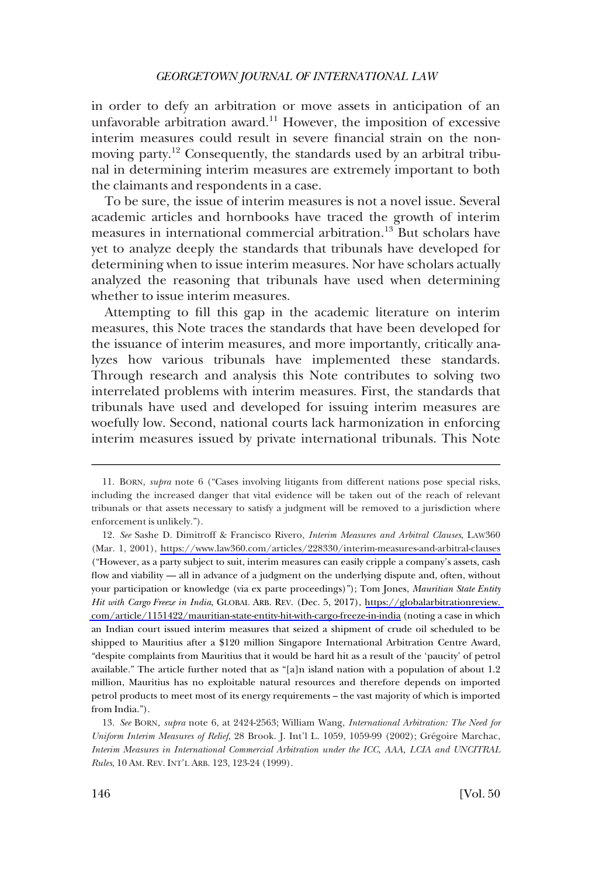in order to defy an arbitration or move assets in anticipation of an unfavorable arbitration award.<sup>11</sup> However, the imposition of excessive interim measures could result in severe financial strain on the nonmoving party.<sup>12</sup> Consequently, the standards used by an arbitral tribunal in determining interim measures are extremely important to both the claimants and respondents in a case.

To be sure, the issue of interim measures is not a novel issue. Several academic articles and hornbooks have traced the growth of interim measures in international commercial arbitration.13 But scholars have yet to analyze deeply the standards that tribunals have developed for determining when to issue interim measures. Nor have scholars actually analyzed the reasoning that tribunals have used when determining whether to issue interim measures.

Attempting to fill this gap in the academic literature on interim measures, this Note traces the standards that have been developed for the issuance of interim measures, and more importantly, critically analyzes how various tribunals have implemented these standards. Through research and analysis this Note contributes to solving two interrelated problems with interim measures. First, the standards that tribunals have used and developed for issuing interim measures are woefully low. Second, national courts lack harmonization in enforcing interim measures issued by private international tribunals. This Note

<sup>11.</sup> BORN*, supra* note 6 ("Cases involving litigants from different nations pose special risks, including the increased danger that vital evidence will be taken out of the reach of relevant tribunals or that assets necessary to satisfy a judgment will be removed to a jurisdiction where enforcement is unlikely.").

*See* Sashe D. Dimitroff & Francisco Rivero, *Interim Measures and Arbitral Clauses*, LAW360 12. (Mar. 1, 2001), <https://www.law360.com/articles/228330/interim-measures-and-arbitral-clauses> ("However, as a party subject to suit, interim measures can easily cripple a company's assets, cash flow and viability — all in advance of a judgment on the underlying dispute and, often, without your participation or knowledge (via ex parte proceedings)"); Tom Jones, *Mauritian State Entity Hit with Cargo Freeze in India*, GLOBAL ARB. REV. (Dec. 5, 2017), [https://globalarbitrationreview.](https://globalarbitrationreview.com/article/1151422/mauritian-state-entity-hit-with-cargo-freeze-in-india)  [com/article/1151422/mauritian-state-entity-hit-with-cargo-freeze-in-india](https://globalarbitrationreview.com/article/1151422/mauritian-state-entity-hit-with-cargo-freeze-in-india) (noting a case in which an Indian court issued interim measures that seized a shipment of crude oil scheduled to be shipped to Mauritius after a \$120 million Singapore International Arbitration Centre Award, "despite complaints from Mauritius that it would be hard hit as a result of the 'paucity' of petrol available." The article further noted that as "[a]n island nation with a population of about 1.2 million, Mauritius has no exploitable natural resources and therefore depends on imported petrol products to meet most of its energy requirements – the vast majority of which is imported from India.").

<sup>13.</sup> *See* BORN*, supra* note 6, at 2424-2563; William Wang, *International Arbitration: The Need for Uniform Interim Measures of Relief*, 28 Brook. J. Int'l L. 1059, 1059-99 (2002); Grégoire Marchac, *Interim Measures in International Commercial Arbitration under the ICC, AAA, LCIA and UNCITRAL Rules*, 10 AM. REV. INT'L ARB. 123, 123-24 (1999).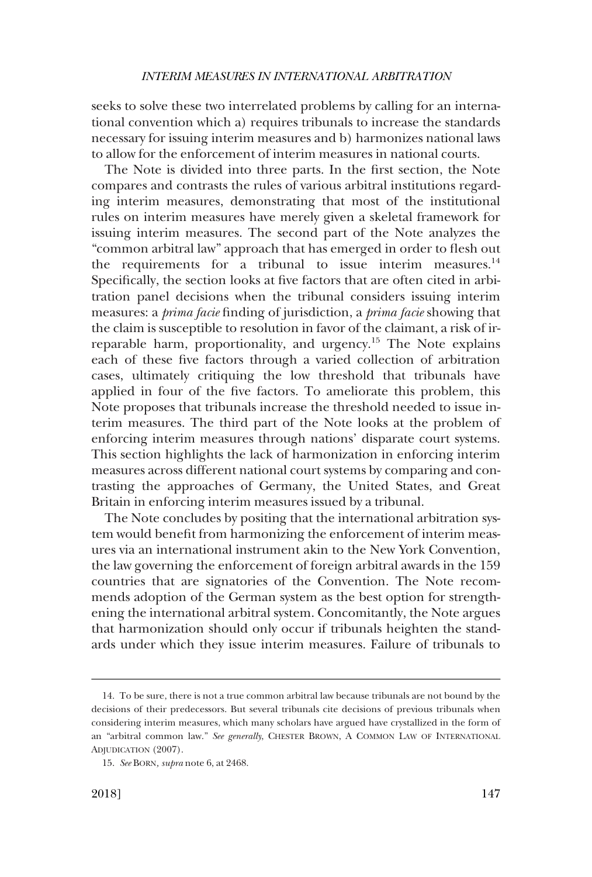seeks to solve these two interrelated problems by calling for an international convention which a) requires tribunals to increase the standards necessary for issuing interim measures and b) harmonizes national laws to allow for the enforcement of interim measures in national courts.

The Note is divided into three parts. In the first section, the Note compares and contrasts the rules of various arbitral institutions regarding interim measures, demonstrating that most of the institutional rules on interim measures have merely given a skeletal framework for issuing interim measures. The second part of the Note analyzes the "common arbitral law" approach that has emerged in order to flesh out the requirements for a tribunal to issue interim measures. $^{14}$ Specifically, the section looks at five factors that are often cited in arbitration panel decisions when the tribunal considers issuing interim measures: a *prima facie* finding of jurisdiction, a *prima facie* showing that the claim is susceptible to resolution in favor of the claimant, a risk of irreparable harm, proportionality, and urgency.15 The Note explains each of these five factors through a varied collection of arbitration cases, ultimately critiquing the low threshold that tribunals have applied in four of the five factors. To ameliorate this problem, this Note proposes that tribunals increase the threshold needed to issue interim measures. The third part of the Note looks at the problem of enforcing interim measures through nations' disparate court systems. This section highlights the lack of harmonization in enforcing interim measures across different national court systems by comparing and contrasting the approaches of Germany, the United States, and Great Britain in enforcing interim measures issued by a tribunal.

The Note concludes by positing that the international arbitration system would benefit from harmonizing the enforcement of interim measures via an international instrument akin to the New York Convention, the law governing the enforcement of foreign arbitral awards in the 159 countries that are signatories of the Convention. The Note recommends adoption of the German system as the best option for strengthening the international arbitral system. Concomitantly, the Note argues that harmonization should only occur if tribunals heighten the standards under which they issue interim measures. Failure of tribunals to

<sup>14.</sup> To be sure, there is not a true common arbitral law because tribunals are not bound by the decisions of their predecessors. But several tribunals cite decisions of previous tribunals when considering interim measures, which many scholars have argued have crystallized in the form of an "arbitral common law." *See generally*, CHESTER BROWN, A COMMON LAW OF INTERNATIONAL ADJUDICATION (2007).

<sup>15.</sup> *See* BORN*, supra* note 6, at 2468.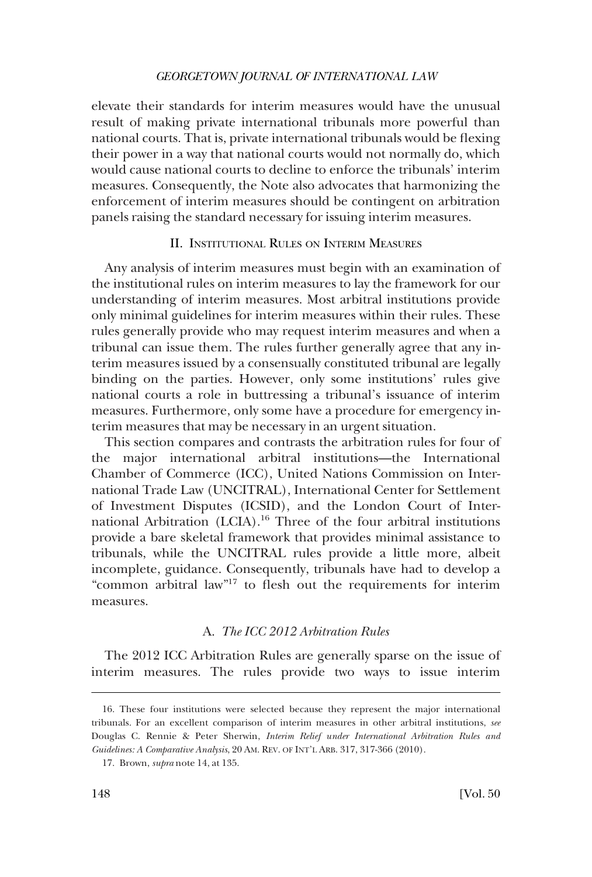<span id="page-5-0"></span>elevate their standards for interim measures would have the unusual result of making private international tribunals more powerful than national courts. That is, private international tribunals would be flexing their power in a way that national courts would not normally do, which would cause national courts to decline to enforce the tribunals' interim measures. Consequently, the Note also advocates that harmonizing the enforcement of interim measures should be contingent on arbitration panels raising the standard necessary for issuing interim measures.

# II. INSTITUTIONAL RULES ON INTERIM MEASURES

Any analysis of interim measures must begin with an examination of the institutional rules on interim measures to lay the framework for our understanding of interim measures. Most arbitral institutions provide only minimal guidelines for interim measures within their rules. These rules generally provide who may request interim measures and when a tribunal can issue them. The rules further generally agree that any interim measures issued by a consensually constituted tribunal are legally binding on the parties. However, only some institutions' rules give national courts a role in buttressing a tribunal's issuance of interim measures. Furthermore, only some have a procedure for emergency interim measures that may be necessary in an urgent situation.

This section compares and contrasts the arbitration rules for four of the major international arbitral institutions—the International Chamber of Commerce (ICC), United Nations Commission on International Trade Law (UNCITRAL), International Center for Settlement of Investment Disputes (ICSID), and the London Court of International Arbitration (LCIA).<sup>16</sup> Three of the four arbitral institutions provide a bare skeletal framework that provides minimal assistance to tribunals, while the UNCITRAL rules provide a little more, albeit incomplete, guidance. Consequently, tribunals have had to develop a "common arbitral law"17 to flesh out the requirements for interim measures.

# A. *The ICC 2012 Arbitration Rules*

The 2012 ICC Arbitration Rules are generally sparse on the issue of interim measures. The rules provide two ways to issue interim

<sup>16.</sup> These four institutions were selected because they represent the major international tribunals. For an excellent comparison of interim measures in other arbitral institutions, *see*  Douglas C. Rennie & Peter Sherwin, *Interim Relief under International Arbitration Rules and Guidelines: A Comparative Analysis*, 20 AM. REV. OF INT'L ARB. 317, 317-366 (2010).

<sup>17.</sup> Brown, *supra* note 14, at 135.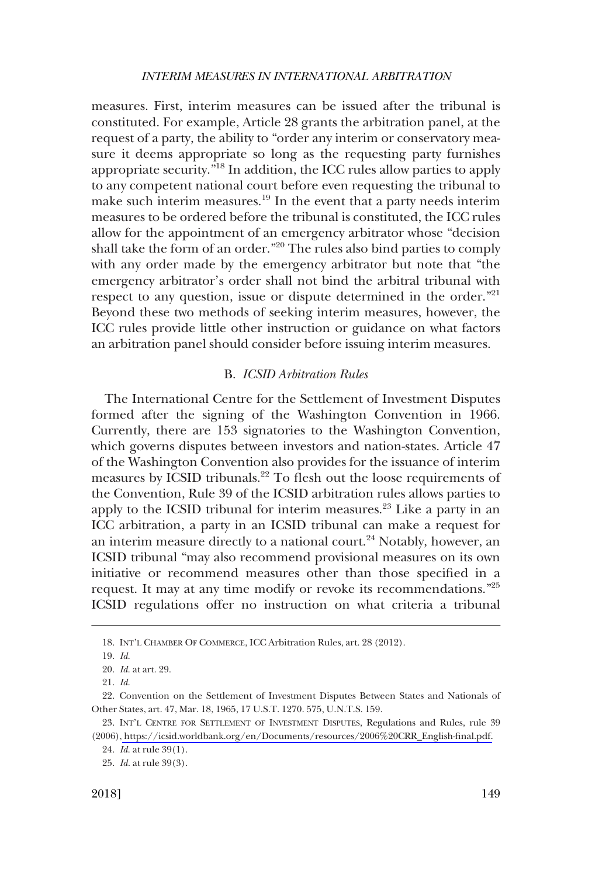<span id="page-6-0"></span>measures. First, interim measures can be issued after the tribunal is constituted. For example, Article 28 grants the arbitration panel, at the request of a party, the ability to "order any interim or conservatory measure it deems appropriate so long as the requesting party furnishes appropriate security."18 In addition, the ICC rules allow parties to apply to any competent national court before even requesting the tribunal to make such interim measures.19 In the event that a party needs interim measures to be ordered before the tribunal is constituted, the ICC rules allow for the appointment of an emergency arbitrator whose "decision shall take the form of an order."20 The rules also bind parties to comply with any order made by the emergency arbitrator but note that "the emergency arbitrator's order shall not bind the arbitral tribunal with respect to any question, issue or dispute determined in the order."<sup>21</sup> Beyond these two methods of seeking interim measures, however, the ICC rules provide little other instruction or guidance on what factors an arbitration panel should consider before issuing interim measures.

#### B. *ICSID Arbitration Rules*

The International Centre for the Settlement of Investment Disputes formed after the signing of the Washington Convention in 1966. Currently, there are 153 signatories to the Washington Convention, which governs disputes between investors and nation-states. Article 47 of the Washington Convention also provides for the issuance of interim measures by ICSID tribunals.<sup>22</sup> To flesh out the loose requirements of the Convention, Rule 39 of the ICSID arbitration rules allows parties to apply to the ICSID tribunal for interim measures.<sup>23</sup> Like a party in an ICC arbitration, a party in an ICSID tribunal can make a request for an interim measure directly to a national court.<sup>24</sup> Notably, however, an ICSID tribunal "may also recommend provisional measures on its own initiative or recommend measures other than those specified in a request. It may at any time modify or revoke its recommendations."<sup>25</sup> ICSID regulations offer no instruction on what criteria a tribunal

<sup>18.</sup> INT'L CHAMBER OF COMMERCE, ICC Arbitration Rules, art. 28 (2012).

<sup>19.</sup> *Id*.

<sup>20.</sup> *Id*. at art. 29.

<sup>21.</sup> *Id*.

<sup>22.</sup> Convention on the Settlement of Investment Disputes Between States and Nationals of Other States, art. 47, Mar. 18, 1965, 17 U.S.T. 1270. 575, U.N.T.S. 159.

<sup>23.</sup> INT'L CENTRE FOR SETTLEMENT OF INVESTMENT DISPUTES, Regulations and Rules, rule 39 (2006), [https://icsid.worldbank.org/en/Documents/resources/2006%20CRR\\_English-final.pdf.](https://icsid.worldbank.org/en/Documents/resources/2006%20CRR_English-final.pdf)

<sup>24.</sup> *Id*. at rule 39(1).

<sup>25.</sup> *Id*. at rule 39(3).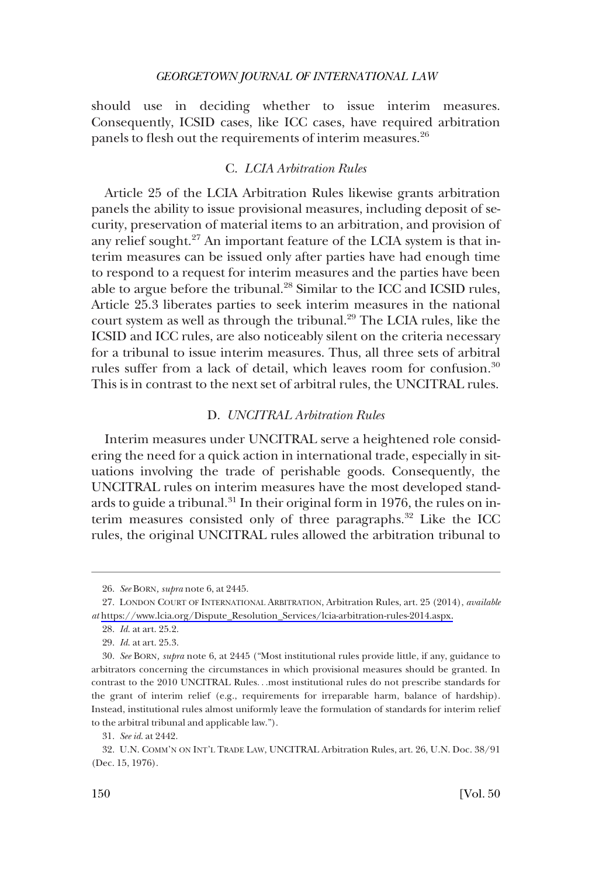<span id="page-7-0"></span>should use in deciding whether to issue interim measures. Consequently, ICSID cases, like ICC cases, have required arbitration panels to flesh out the requirements of interim measures.<sup>26</sup>

# C. *LCIA Arbitration Rules*

Article 25 of the LCIA Arbitration Rules likewise grants arbitration panels the ability to issue provisional measures, including deposit of security, preservation of material items to an arbitration, and provision of any relief sought.<sup>27</sup> An important feature of the LCIA system is that interim measures can be issued only after parties have had enough time to respond to a request for interim measures and the parties have been able to argue before the tribunal.28 Similar to the ICC and ICSID rules, Article 25.3 liberates parties to seek interim measures in the national court system as well as through the tribunal.<sup>29</sup> The LCIA rules, like the ICSID and ICC rules, are also noticeably silent on the criteria necessary for a tribunal to issue interim measures. Thus, all three sets of arbitral rules suffer from a lack of detail, which leaves room for confusion.<sup>30</sup> This is in contrast to the next set of arbitral rules, the UNCITRAL rules.

### D. *UNCITRAL Arbitration Rules*

Interim measures under UNCITRAL serve a heightened role considering the need for a quick action in international trade, especially in situations involving the trade of perishable goods. Consequently, the UNCITRAL rules on interim measures have the most developed standards to guide a tribunal. $31$  In their original form in 1976, the rules on interim measures consisted only of three paragraphs.<sup>32</sup> Like the ICC rules, the original UNCITRAL rules allowed the arbitration tribunal to

<sup>26.</sup> *See* BORN*, supra* note 6, at 2445.

<sup>27.</sup> LONDON COURT OF INTERNATIONAL ARBITRATION, Arbitration Rules, art. 25 (2014), *available at* [https://www.lcia.org/Dispute\\_Resolution\\_Services/lcia-arbitration-rules-2014.aspx.](https://www.lcia.org/Dispute_Resolution_Services/lcia-arbitration-rules-2014.aspx)

<sup>28.</sup> *Id*. at art. 25.2.

<sup>29.</sup> *Id*. at art. 25.3.

<sup>30.</sup> *See* BORN*, supra* note 6, at 2445 ("Most institutional rules provide little, if any, guidance to arbitrators concerning the circumstances in which provisional measures should be granted. In contrast to the 2010 UNCITRAL Rules. . .most institutional rules do not prescribe standards for the grant of interim relief (e.g., requirements for irreparable harm, balance of hardship). Instead, institutional rules almost uniformly leave the formulation of standards for interim relief to the arbitral tribunal and applicable law.").

<sup>31.</sup> *See id*. at 2442.

<sup>32.</sup> U.N. COMM'N ON INT'L TRADE LAW, UNCITRAL Arbitration Rules, art. 26, U.N. Doc. 38/91 (Dec. 15, 1976).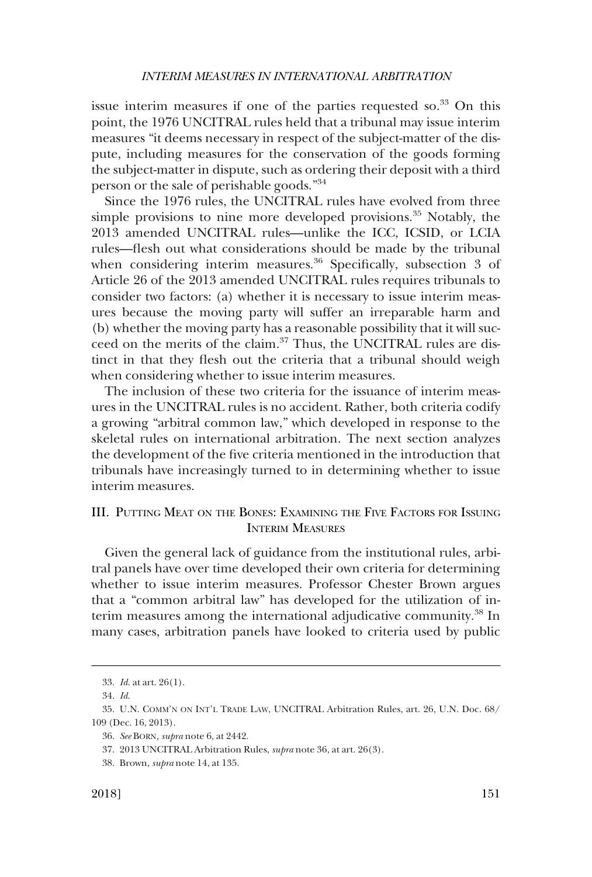<span id="page-8-0"></span>issue interim measures if one of the parties requested so. $33$  On this point, the 1976 UNCITRAL rules held that a tribunal may issue interim measures "it deems necessary in respect of the subject-matter of the dispute, including measures for the conservation of the goods forming the subject-matter in dispute, such as ordering their deposit with a third person or the sale of perishable goods."<sup>34</sup>

Since the 1976 rules, the UNCITRAL rules have evolved from three simple provisions to nine more developed provisions.<sup>35</sup> Notably, the 2013 amended UNCITRAL rules—unlike the ICC, ICSID, or LCIA rules—flesh out what considerations should be made by the tribunal when considering interim measures. $36$  Specifically, subsection 3 of Article 26 of the 2013 amended UNCITRAL rules requires tribunals to consider two factors: (a) whether it is necessary to issue interim measures because the moving party will suffer an irreparable harm and (b) whether the moving party has a reasonable possibility that it will succeed on the merits of the claim.<sup>37</sup> Thus, the UNCITRAL rules are distinct in that they flesh out the criteria that a tribunal should weigh when considering whether to issue interim measures.

The inclusion of these two criteria for the issuance of interim measures in the UNCITRAL rules is no accident. Rather, both criteria codify a growing "arbitral common law," which developed in response to the skeletal rules on international arbitration. The next section analyzes the development of the five criteria mentioned in the introduction that tribunals have increasingly turned to in determining whether to issue interim measures.

# III. PUTTING MEAT ON THE BONES: EXAMINING THE FIVE FACTORS FOR ISSUING INTERIM MEASURES

Given the general lack of guidance from the institutional rules, arbitral panels have over time developed their own criteria for determining whether to issue interim measures. Professor Chester Brown argues that a "common arbitral law" has developed for the utilization of interim measures among the international adjudicative community.<sup>38</sup> In many cases, arbitration panels have looked to criteria used by public

<sup>33.</sup> *Id*. at art. 26(1).

<sup>34.</sup> *Id*.

<sup>35.</sup> U.N. COMM'N ON INT'L TRADE LAW, UNCITRAL Arbitration Rules, art. 26, U.N. Doc. 68/ 109 (Dec. 16, 2013).

<sup>36.</sup> *See* BORN*, supra* note 6, at 2442.

<sup>37. 2013</sup> UNCITRAL Arbitration Rules, *supra* note 36, at art. 26(3).

<sup>38.</sup> Brown, *supra* note 14, at 135.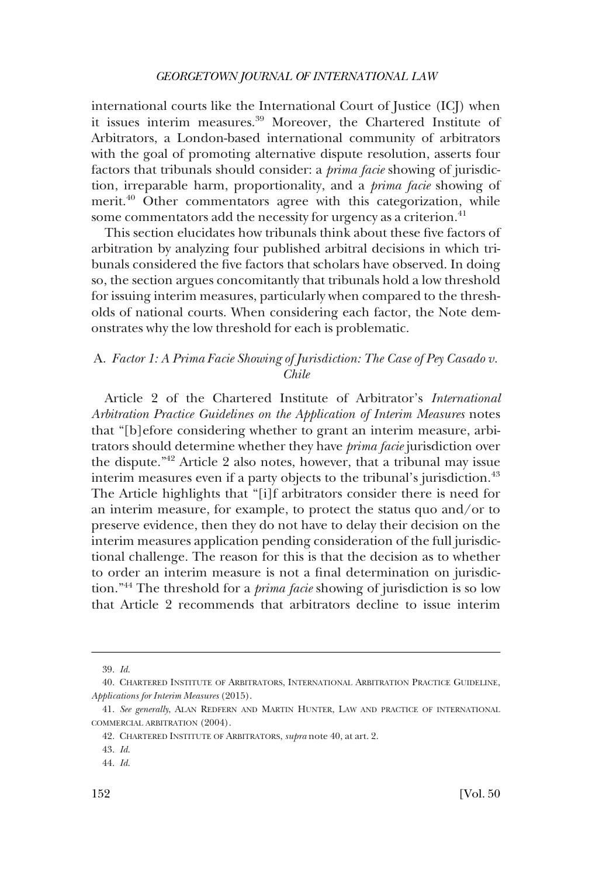<span id="page-9-0"></span>international courts like the International Court of Justice (ICJ) when it issues interim measures.<sup>39</sup> Moreover, the Chartered Institute of Arbitrators, a London-based international community of arbitrators with the goal of promoting alternative dispute resolution, asserts four factors that tribunals should consider: a *prima facie* showing of jurisdiction, irreparable harm, proportionality, and a *prima facie* showing of merit.<sup>40</sup> Other commentators agree with this categorization, while some commentators add the necessity for urgency as a criterion.<sup>41</sup>

This section elucidates how tribunals think about these five factors of arbitration by analyzing four published arbitral decisions in which tribunals considered the five factors that scholars have observed. In doing so, the section argues concomitantly that tribunals hold a low threshold for issuing interim measures, particularly when compared to the thresholds of national courts. When considering each factor, the Note demonstrates why the low threshold for each is problematic.

# A. *Factor 1: A Prima Facie Showing of Jurisdiction: The Case of Pey Casado v. Chile*

Article 2 of the Chartered Institute of Arbitrator's *International Arbitration Practice Guidelines on the Application of Interim Measures* notes that "[b]efore considering whether to grant an interim measure, arbitrators should determine whether they have *prima facie* jurisdiction over the dispute."42 Article 2 also notes, however, that a tribunal may issue interim measures even if a party objects to the tribunal's jurisdiction.<sup>43</sup> The Article highlights that "[i]f arbitrators consider there is need for an interim measure, for example, to protect the status quo and/or to preserve evidence, then they do not have to delay their decision on the interim measures application pending consideration of the full jurisdictional challenge. The reason for this is that the decision as to whether to order an interim measure is not a final determination on jurisdiction."44 The threshold for a *prima facie* showing of jurisdiction is so low that Article 2 recommends that arbitrators decline to issue interim

44. *Id*.

<sup>39.</sup> *Id*.

<sup>40.</sup> CHARTERED INSTITUTE OF ARBITRATORS, INTERNATIONAL ARBITRATION PRACTICE GUIDELINE, *Applications for Interim Measures* (2015).

<sup>41.</sup> *See generally*, ALAN REDFERN AND MARTIN HUNTER, LAW AND PRACTICE OF INTERNATIONAL COMMERCIAL ARBITRATION (2004).

<sup>42.</sup> CHARTERED INSTITUTE OF ARBITRATORS, *supra* note 40, at art. 2.

<sup>43.</sup> *Id*.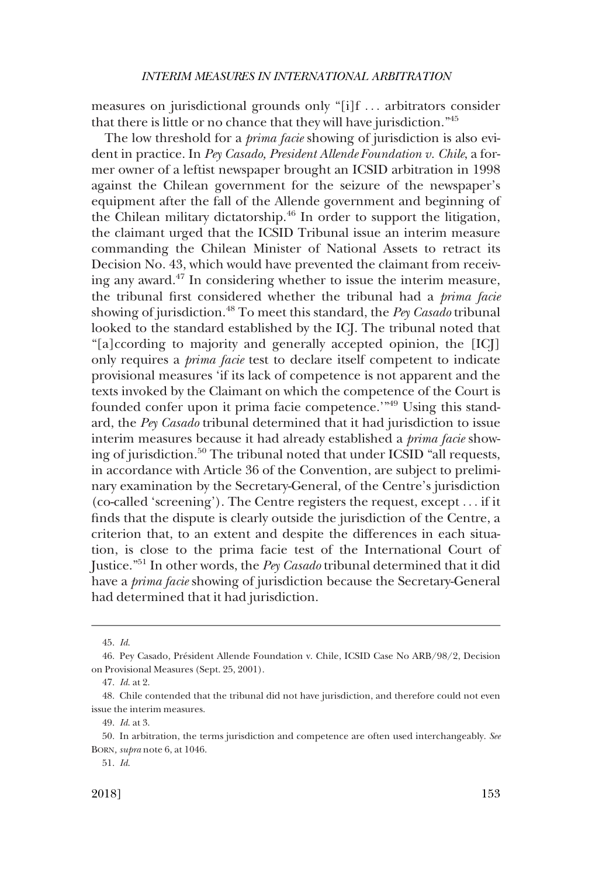measures on jurisdictional grounds only "[i]f . . . arbitrators consider that there is little or no chance that they will have jurisdiction."<sup>45</sup>

The low threshold for a *prima facie* showing of jurisdiction is also evident in practice. In *Pey Casado, President Allende Foundation v. Chile*, a former owner of a leftist newspaper brought an ICSID arbitration in 1998 against the Chilean government for the seizure of the newspaper's equipment after the fall of the Allende government and beginning of the Chilean military dictatorship.<sup>46</sup> In order to support the litigation, the claimant urged that the ICSID Tribunal issue an interim measure commanding the Chilean Minister of National Assets to retract its Decision No. 43, which would have prevented the claimant from receiving any award.47 In considering whether to issue the interim measure, the tribunal first considered whether the tribunal had a *prima facie*  showing of jurisdiction.48 To meet this standard, the *Pey Casado* tribunal looked to the standard established by the ICJ. The tribunal noted that "[a]ccording to majority and generally accepted opinion, the [ICJ] only requires a *prima facie* test to declare itself competent to indicate provisional measures 'if its lack of competence is not apparent and the texts invoked by the Claimant on which the competence of the Court is founded confer upon it prima facie competence.'"49 Using this standard, the *Pey Casado* tribunal determined that it had jurisdiction to issue interim measures because it had already established a *prima facie* showing of jurisdiction.<sup>50</sup> The tribunal noted that under ICSID "all requests, in accordance with Article 36 of the Convention, are subject to preliminary examination by the Secretary-General, of the Centre's jurisdiction (co-called 'screening'). The Centre registers the request, except . . . if it finds that the dispute is clearly outside the jurisdiction of the Centre, a criterion that, to an extent and despite the differences in each situation, is close to the prima facie test of the International Court of Justice."51 In other words, the *Pey Casado* tribunal determined that it did have a *prima facie* showing of jurisdiction because the Secretary-General had determined that it had jurisdiction.

<sup>45.</sup> *Id*.

<sup>46.</sup> Pey Casado, Président Allende Foundation v. Chile, ICSID Case No ARB/98/2, Decision on Provisional Measures (Sept. 25, 2001).

<sup>47.</sup> *Id*. at 2.

<sup>48.</sup> Chile contended that the tribunal did not have jurisdiction, and therefore could not even issue the interim measures.

<sup>49.</sup> *Id*. at 3.

<sup>50.</sup> In arbitration, the terms jurisdiction and competence are often used interchangeably. *See*  BORN*, supra* note 6, at 1046.

<sup>51.</sup> *Id*.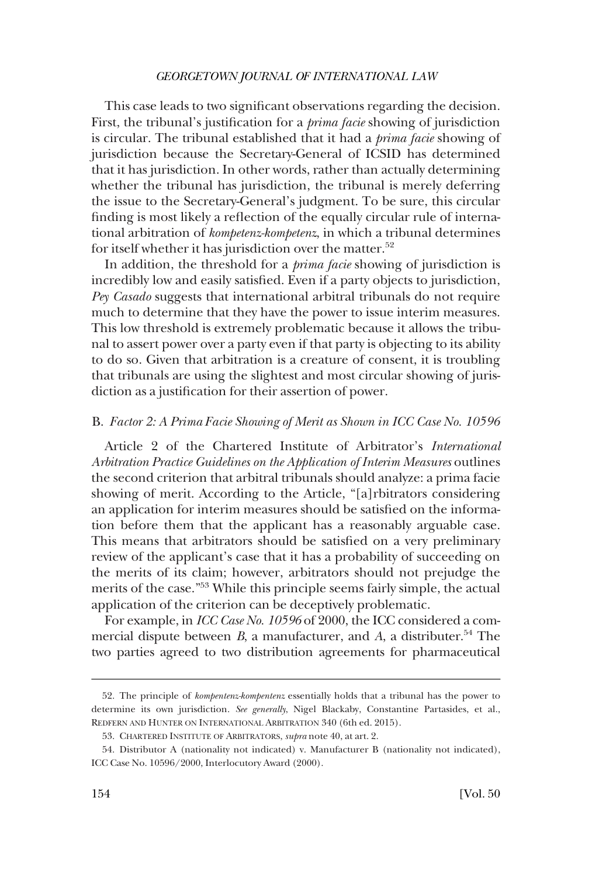<span id="page-11-0"></span>This case leads to two significant observations regarding the decision. First, the tribunal's justification for a *prima facie* showing of jurisdiction is circular. The tribunal established that it had a *prima facie* showing of jurisdiction because the Secretary-General of ICSID has determined that it has jurisdiction. In other words, rather than actually determining whether the tribunal has jurisdiction, the tribunal is merely deferring the issue to the Secretary-General's judgment. To be sure, this circular finding is most likely a reflection of the equally circular rule of international arbitration of *kompetenz-kompetenz*, in which a tribunal determines for itself whether it has jurisdiction over the matter.<sup>52</sup>

In addition, the threshold for a *prima facie* showing of jurisdiction is incredibly low and easily satisfied. Even if a party objects to jurisdiction, *Pey Casado* suggests that international arbitral tribunals do not require much to determine that they have the power to issue interim measures. This low threshold is extremely problematic because it allows the tribunal to assert power over a party even if that party is objecting to its ability to do so. Given that arbitration is a creature of consent, it is troubling that tribunals are using the slightest and most circular showing of jurisdiction as a justification for their assertion of power.

#### B. *Factor 2: A Prima Facie Showing of Merit as Shown in ICC Case No. 10596*

Article 2 of the Chartered Institute of Arbitrator's *International Arbitration Practice Guidelines on the Application of Interim Measures* outlines the second criterion that arbitral tribunals should analyze: a prima facie showing of merit. According to the Article, "[a]rbitrators considering an application for interim measures should be satisfied on the information before them that the applicant has a reasonably arguable case. This means that arbitrators should be satisfied on a very preliminary review of the applicant's case that it has a probability of succeeding on the merits of its claim; however, arbitrators should not prejudge the merits of the case."53 While this principle seems fairly simple, the actual application of the criterion can be deceptively problematic.

For example, in *ICC Case No. 10596* of 2000, the ICC considered a commercial dispute between  $B$ , a manufacturer, and  $A$ , a distributer.<sup>54</sup> The two parties agreed to two distribution agreements for pharmaceutical

<sup>52.</sup> The principle of *kompentenz-kompentenz* essentially holds that a tribunal has the power to determine its own jurisdiction. *See generally*, Nigel Blackaby, Constantine Partasides, et al., REDFERN AND HUNTER ON INTERNATIONAL ARBITRATION 340 (6th ed. 2015).

<sup>53.</sup> CHARTERED INSTITUTE OF ARBITRATORS, *supra* note 40, at art. 2.

<sup>54.</sup> Distributor A (nationality not indicated) v. Manufacturer B (nationality not indicated), ICC Case No. 10596/2000, Interlocutory Award (2000).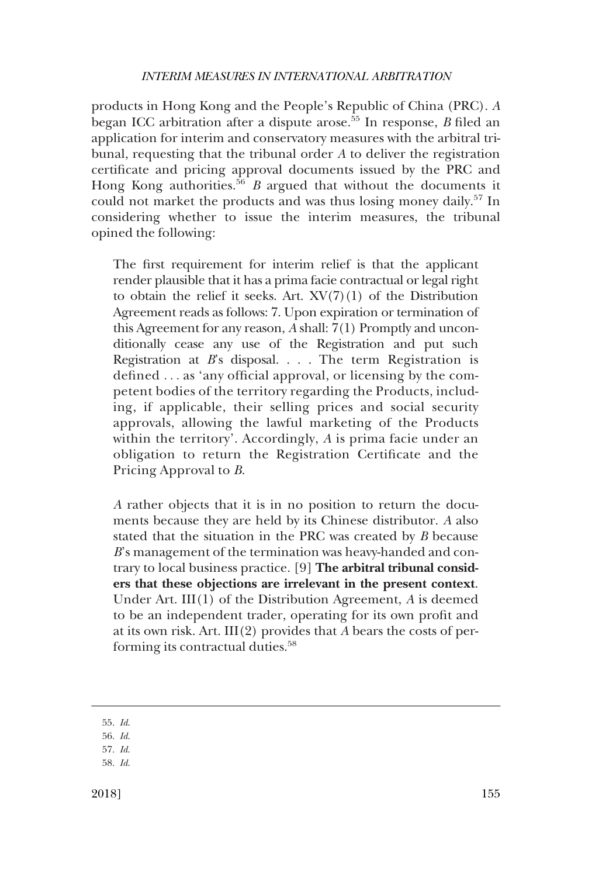products in Hong Kong and the People's Republic of China (PRC). *A*  began ICC arbitration after a dispute arose.55 In response, *B* filed an application for interim and conservatory measures with the arbitral tribunal, requesting that the tribunal order *A* to deliver the registration certificate and pricing approval documents issued by the PRC and Hong Kong authorities.<sup>56</sup>*B* argued that without the documents it could not market the products and was thus losing money daily.<sup>57</sup> In considering whether to issue the interim measures, the tribunal opined the following:

The first requirement for interim relief is that the applicant render plausible that it has a prima facie contractual or legal right to obtain the relief it seeks. Art.  $XV(7)(1)$  of the Distribution Agreement reads as follows: 7. Upon expiration or termination of this Agreement for any reason, *A* shall: 7(1) Promptly and unconditionally cease any use of the Registration and put such Registration at *B*'s disposal. . . . The term Registration is defined . . . as 'any official approval, or licensing by the competent bodies of the territory regarding the Products, including, if applicable, their selling prices and social security approvals, allowing the lawful marketing of the Products within the territory'. Accordingly, *A* is prima facie under an obligation to return the Registration Certificate and the Pricing Approval to *B*.

*A* rather objects that it is in no position to return the documents because they are held by its Chinese distributor. *A* also stated that the situation in the PRC was created by *B* because *B*'s management of the termination was heavy-handed and contrary to local business practice. [9] **The arbitral tribunal considers that these objections are irrelevant in the present context**. Under Art. III(1) of the Distribution Agreement, *A* is deemed to be an independent trader, operating for its own profit and at its own risk. Art. III(2) provides that *A* bears the costs of performing its contractual duties.<sup>58</sup>

<sup>55.</sup> *Id*.

<sup>56.</sup> *Id*.

<sup>57.</sup> *Id*.

<sup>58.</sup> *Id*.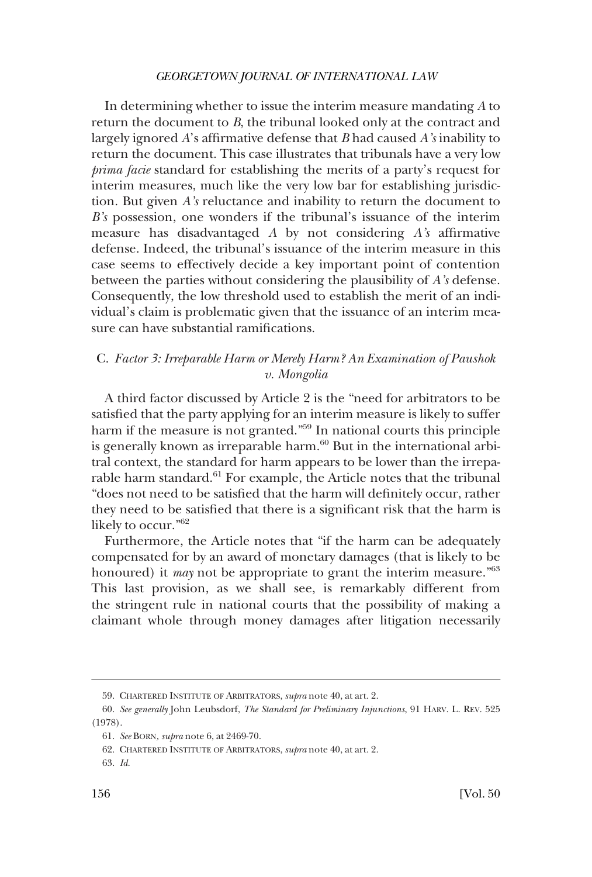<span id="page-13-0"></span>In determining whether to issue the interim measure mandating *A* to return the document to *B*, the tribunal looked only at the contract and largely ignored *A*'s affirmative defense that *B* had caused *A's* inability to return the document. This case illustrates that tribunals have a very low *prima facie* standard for establishing the merits of a party's request for interim measures, much like the very low bar for establishing jurisdiction. But given *A's* reluctance and inability to return the document to *B's* possession, one wonders if the tribunal's issuance of the interim measure has disadvantaged *A* by not considering *A's* affirmative defense. Indeed, the tribunal's issuance of the interim measure in this case seems to effectively decide a key important point of contention between the parties without considering the plausibility of *A's* defense. Consequently, the low threshold used to establish the merit of an individual's claim is problematic given that the issuance of an interim measure can have substantial ramifications.

# C. *Factor 3: Irreparable Harm or Merely Harm? An Examination of Paushok v. Mongolia*

A third factor discussed by Article 2 is the "need for arbitrators to be satisfied that the party applying for an interim measure is likely to suffer harm if the measure is not granted."<sup>59</sup> In national courts this principle is generally known as irreparable harm.<sup>60</sup> But in the international arbitral context, the standard for harm appears to be lower than the irreparable harm standard.<sup>61</sup> For example, the Article notes that the tribunal "does not need to be satisfied that the harm will definitely occur, rather they need to be satisfied that there is a significant risk that the harm is likely to occur."62

Furthermore, the Article notes that "if the harm can be adequately compensated for by an award of monetary damages (that is likely to be honoured) it *may* not be appropriate to grant the interim measure."<sup>63</sup> This last provision, as we shall see, is remarkably different from the stringent rule in national courts that the possibility of making a claimant whole through money damages after litigation necessarily

<sup>59.</sup> CHARTERED INSTITUTE OF ARBITRATORS, *supra* note 40, at art. 2.

<sup>60.</sup> *See generally* John Leubsdorf, *The Standard for Preliminary Injunctions*, 91 HARV. L. REV. 525 (1978).

<sup>61.</sup> *See* BORN*, supra* note 6, at 2469-70.

<sup>62.</sup> CHARTERED INSTITUTE OF ARBITRATORS, *supra* note 40, at art. 2.

<sup>63.</sup> *Id*.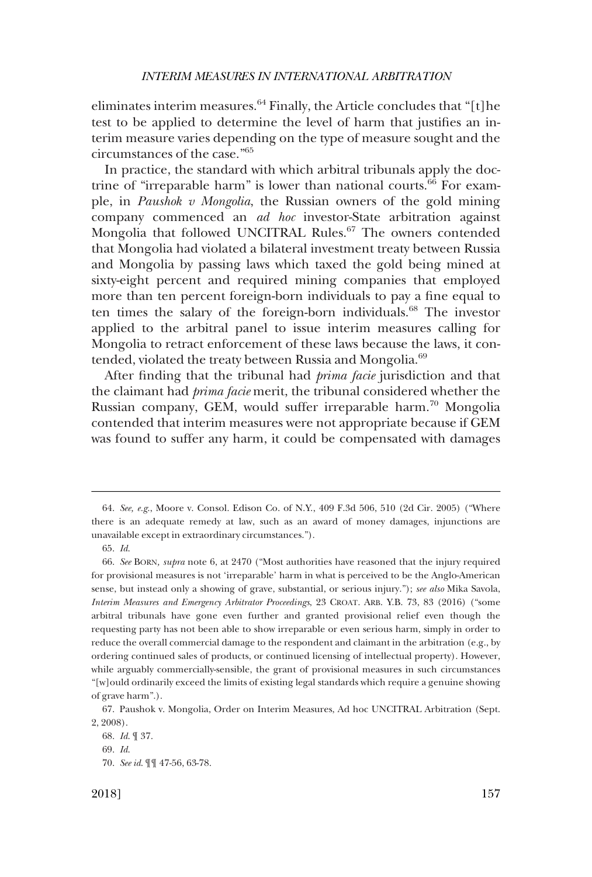eliminates interim measures. $^{64}$  Finally, the Article concludes that "[t]he test to be applied to determine the level of harm that justifies an interim measure varies depending on the type of measure sought and the circumstances of the case."65

In practice, the standard with which arbitral tribunals apply the doctrine of "irreparable harm" is lower than national courts.<sup>66</sup> For example, in *Paushok v Mongolia*, the Russian owners of the gold mining company commenced an *ad hoc* investor-State arbitration against Mongolia that followed UNCITRAL Rules.67 The owners contended that Mongolia had violated a bilateral investment treaty between Russia and Mongolia by passing laws which taxed the gold being mined at sixty-eight percent and required mining companies that employed more than ten percent foreign-born individuals to pay a fine equal to ten times the salary of the foreign-born individuals.<sup>68</sup> The investor applied to the arbitral panel to issue interim measures calling for Mongolia to retract enforcement of these laws because the laws, it contended, violated the treaty between Russia and Mongolia.<sup>69</sup>

After finding that the tribunal had *prima facie* jurisdiction and that the claimant had *prima facie* merit, the tribunal considered whether the Russian company, GEM, would suffer irreparable harm.70 Mongolia contended that interim measures were not appropriate because if GEM was found to suffer any harm, it could be compensated with damages

<sup>64.</sup> *See, e.g*., Moore v. Consol. Edison Co. of N.Y., 409 F.3d 506, 510 (2d Cir. 2005) ("Where there is an adequate remedy at law, such as an award of money damages, injunctions are unavailable except in extraordinary circumstances.").

<sup>65.</sup> *Id*.

<sup>66.</sup> *See* BORN*, supra* note 6, at 2470 ("Most authorities have reasoned that the injury required for provisional measures is not 'irreparable' harm in what is perceived to be the Anglo-American sense, but instead only a showing of grave, substantial, or serious injury."); *see also* Mika Savola, *Interim Measures and Emergency Arbitrator Proceedings*, 23 CROAT. ARB. Y.B. 73, 83 (2016) ("some arbitral tribunals have gone even further and granted provisional relief even though the requesting party has not been able to show irreparable or even serious harm, simply in order to reduce the overall commercial damage to the respondent and claimant in the arbitration (e.g., by ordering continued sales of products, or continued licensing of intellectual property). However, while arguably commercially-sensible, the grant of provisional measures in such circumstances "[w]ould ordinarily exceed the limits of existing legal standards which require a genuine showing of grave harm".).

<sup>67.</sup> Paushok v. Mongolia, Order on Interim Measures, Ad hoc UNCITRAL Arbitration (Sept. 2, 2008).

<sup>68.</sup> *Id*. ¶ 37.

<sup>69.</sup> *Id*.

<sup>70.</sup> *See id*. ¶¶ 47-56, 63-78.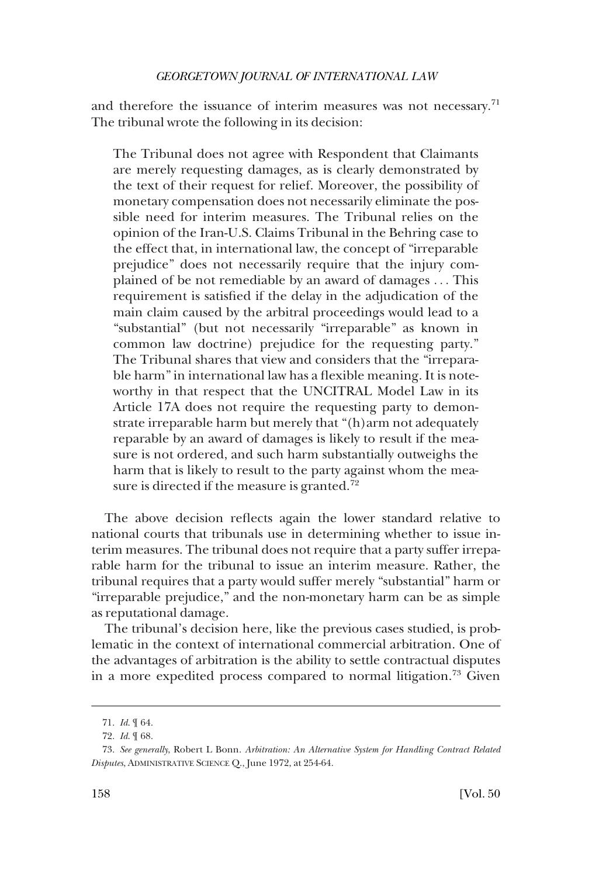and therefore the issuance of interim measures was not necessary.<sup>71</sup> The tribunal wrote the following in its decision:

The Tribunal does not agree with Respondent that Claimants are merely requesting damages, as is clearly demonstrated by the text of their request for relief. Moreover, the possibility of monetary compensation does not necessarily eliminate the possible need for interim measures. The Tribunal relies on the opinion of the Iran-U.S. Claims Tribunal in the Behring case to the effect that, in international law, the concept of "irreparable prejudice" does not necessarily require that the injury complained of be not remediable by an award of damages . . . This requirement is satisfied if the delay in the adjudication of the main claim caused by the arbitral proceedings would lead to a "substantial" (but not necessarily "irreparable" as known in common law doctrine) prejudice for the requesting party." The Tribunal shares that view and considers that the "irreparable harm" in international law has a flexible meaning. It is noteworthy in that respect that the UNCITRAL Model Law in its Article 17A does not require the requesting party to demonstrate irreparable harm but merely that "(h)arm not adequately reparable by an award of damages is likely to result if the measure is not ordered, and such harm substantially outweighs the harm that is likely to result to the party against whom the measure is directed if the measure is granted.<sup>72</sup>

The above decision reflects again the lower standard relative to national courts that tribunals use in determining whether to issue interim measures. The tribunal does not require that a party suffer irreparable harm for the tribunal to issue an interim measure. Rather, the tribunal requires that a party would suffer merely "substantial" harm or "irreparable prejudice," and the non-monetary harm can be as simple as reputational damage.

The tribunal's decision here, like the previous cases studied, is problematic in the context of international commercial arbitration. One of the advantages of arbitration is the ability to settle contractual disputes in a more expedited process compared to normal litigation.<sup>73</sup> Given

<sup>71.</sup> *Id*. ¶ 64.

<sup>72.</sup> *Id*. ¶ 68.

<sup>73.</sup> *See generally*, Robert L Bonn. *Arbitration: An Alternative System for Handling Contract Related Disputes*, ADMINISTRATIVE SCIENCE Q., June 1972, at 254-64.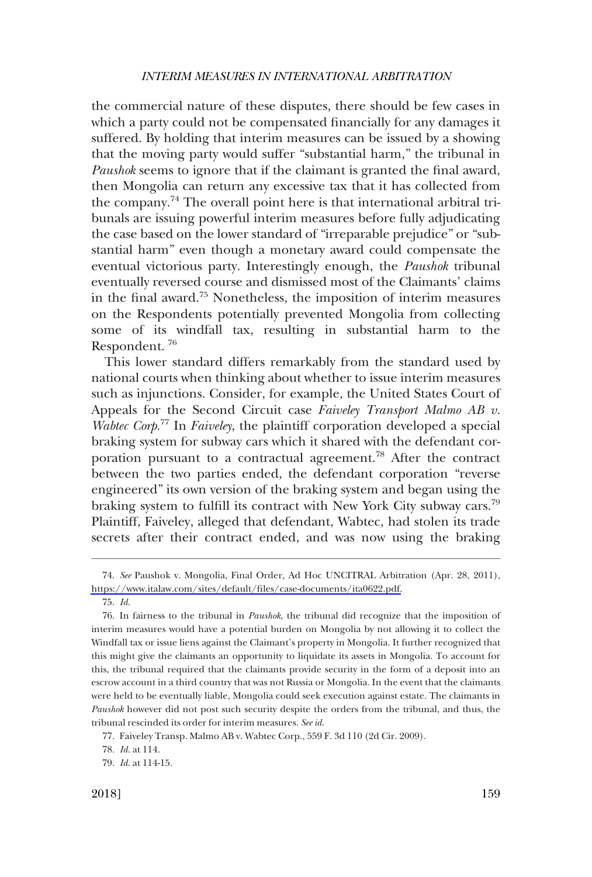the commercial nature of these disputes, there should be few cases in which a party could not be compensated financially for any damages it suffered. By holding that interim measures can be issued by a showing that the moving party would suffer "substantial harm," the tribunal in *Paushok* seems to ignore that if the claimant is granted the final award, then Mongolia can return any excessive tax that it has collected from the company.<sup>74</sup> The overall point here is that international arbitral tribunals are issuing powerful interim measures before fully adjudicating the case based on the lower standard of "irreparable prejudice" or "substantial harm" even though a monetary award could compensate the eventual victorious party. Interestingly enough, the *Paushok* tribunal eventually reversed course and dismissed most of the Claimants' claims in the final award.75 Nonetheless, the imposition of interim measures on the Respondents potentially prevented Mongolia from collecting some of its windfall tax, resulting in substantial harm to the Respondent. 76

This lower standard differs remarkably from the standard used by national courts when thinking about whether to issue interim measures such as injunctions. Consider, for example, the United States Court of Appeals for the Second Circuit case *Faiveley Transport Malmo AB v. Wabtec Corp*. 77 In *Faiveley*, the plaintiff corporation developed a special braking system for subway cars which it shared with the defendant corporation pursuant to a contractual agreement.<sup>78</sup> After the contract between the two parties ended, the defendant corporation "reverse engineered" its own version of the braking system and began using the braking system to fulfill its contract with New York City subway cars.<sup>79</sup> Plaintiff, Faiveley, alleged that defendant, Wabtec, had stolen its trade secrets after their contract ended, and was now using the braking

*See* Paushok v. Mongolia, Final Order, Ad Hoc UNCITRAL Arbitration (Apr. 28, 2011), 74. [https://www.italaw.com/sites/default/files/case-documents/ita0622.pdf.](https://www.italaw.com/sites/default/files/case-documents/ita0622.pdf)

<sup>75.</sup> *Id*.

<sup>76.</sup> In fairness to the tribunal in *Paushok*, the tribunal did recognize that the imposition of interim measures would have a potential burden on Mongolia by not allowing it to collect the Windfall tax or issue liens against the Claimant's property in Mongolia. It further recognized that this might give the claimants an opportunity to liquidate its assets in Mongolia. To account for this, the tribunal required that the claimants provide security in the form of a deposit into an escrow account in a third country that was not Russia or Mongolia. In the event that the claimants were held to be eventually liable, Mongolia could seek execution against estate. The claimants in *Paushok* however did not post such security despite the orders from the tribunal, and thus, the tribunal rescinded its order for interim measures. *See id*.

<sup>77.</sup> Faiveley Transp. Malmo AB v. Wabtec Corp., 559 F. 3d 110 (2d Cir. 2009).

<sup>78.</sup> *Id*. at 114.

<sup>79.</sup> *Id*. at 114-15.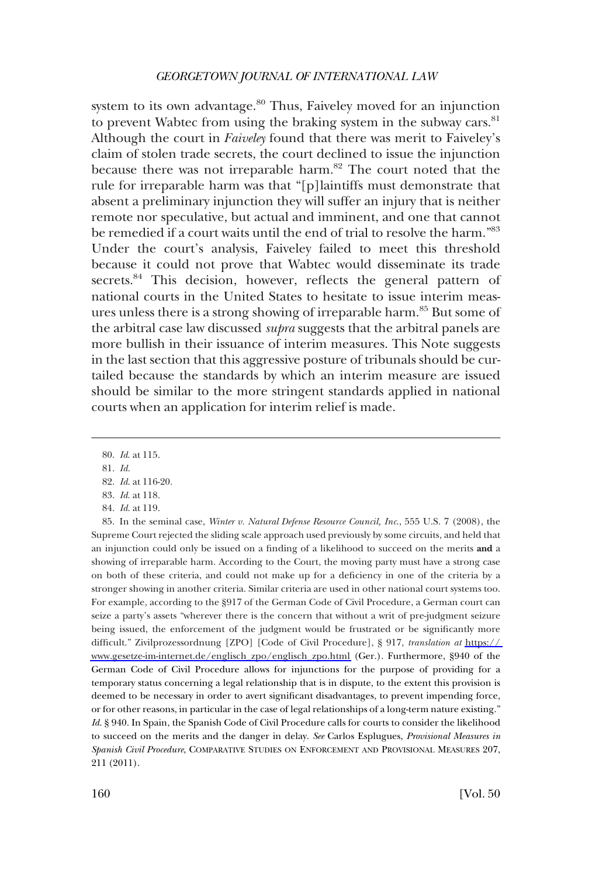system to its own advantage.<sup>80</sup> Thus, Faiveley moved for an injunction to prevent Wabtec from using the braking system in the subway cars.<sup>81</sup> Although the court in *Faiveley* found that there was merit to Faiveley's claim of stolen trade secrets, the court declined to issue the injunction because there was not irreparable harm.<sup>82</sup> The court noted that the rule for irreparable harm was that "[p]laintiffs must demonstrate that absent a preliminary injunction they will suffer an injury that is neither remote nor speculative, but actual and imminent, and one that cannot be remedied if a court waits until the end of trial to resolve the harm."83 Under the court's analysis, Faiveley failed to meet this threshold because it could not prove that Wabtec would disseminate its trade secrets.<sup>84</sup> This decision, however, reflects the general pattern of national courts in the United States to hesitate to issue interim measures unless there is a strong showing of irreparable harm.<sup>85</sup> But some of the arbitral case law discussed *supra* suggests that the arbitral panels are more bullish in their issuance of interim measures. This Note suggests in the last section that this aggressive posture of tribunals should be curtailed because the standards by which an interim measure are issued should be similar to the more stringent standards applied in national courts when an application for interim relief is made.

<sup>80.</sup> *Id*. at 115.

<sup>81.</sup> *Id*.

<sup>82.</sup> *Id*. at 116-20.

<sup>83.</sup> *Id*. at 118.

<sup>84.</sup> *Id*. at 119.

<sup>85.</sup> In the seminal case, *Winter v. Natural Defense Resource Council, Inc.*, 555 U.S. 7 (2008), the Supreme Court rejected the sliding scale approach used previously by some circuits, and held that an injunction could only be issued on a finding of a likelihood to succeed on the merits **and** a showing of irreparable harm. According to the Court, the moving party must have a strong case on both of these criteria, and could not make up for a deficiency in one of the criteria by a stronger showing in another criteria. Similar criteria are used in other national court systems too. For example, according to the §917 of the German Code of Civil Procedure, a German court can seize a party's assets "wherever there is the concern that without a writ of pre-judgment seizure being issued, the enforcement of the judgment would be frustrated or be significantly more difficult." Zivilprozessordnung [ZPO] [Code of Civil Procedure], § 917, *translation at* [https://](https://www.gesetze-im-internet.de/englisch_zpo/englisch_zpo.html)  [www.gesetze-im-internet.de/englisch\\_zpo/englisch\\_zpo.html](https://www.gesetze-im-internet.de/englisch_zpo/englisch_zpo.html) (Ger.). Furthermore, §940 of the German Code of Civil Procedure allows for injunctions for the purpose of providing for a temporary status concerning a legal relationship that is in dispute, to the extent this provision is deemed to be necessary in order to avert significant disadvantages, to prevent impending force, or for other reasons, in particular in the case of legal relationships of a long-term nature existing." *Id*. § 940. In Spain, the Spanish Code of Civil Procedure calls for courts to consider the likelihood to succeed on the merits and the danger in delay. *See* Carlos Esplugues, *Provisional Measures in Spanish Civil Procedure*, COMPARATIVE STUDIES ON ENFORCEMENT AND PROVISIONAL MEASURES 207, 211 (2011).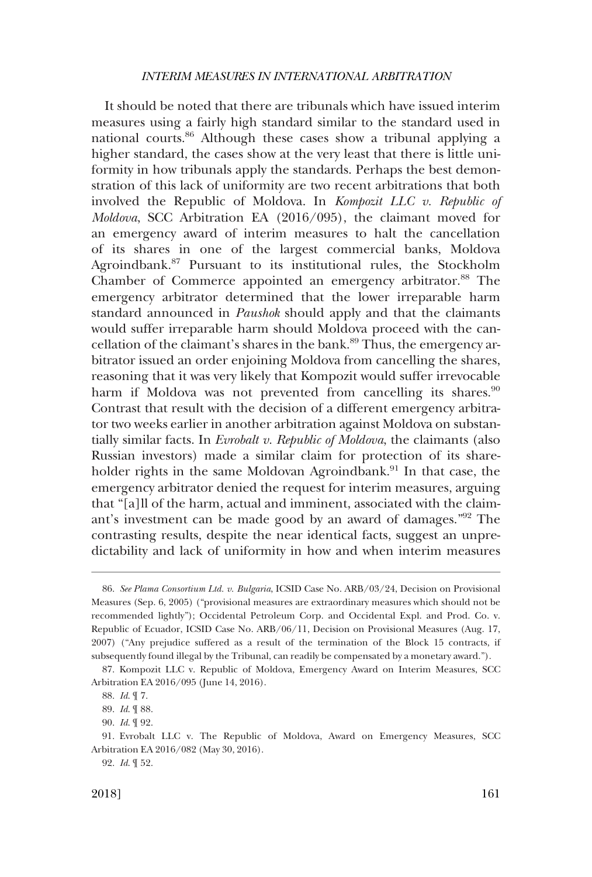It should be noted that there are tribunals which have issued interim measures using a fairly high standard similar to the standard used in national courts.86 Although these cases show a tribunal applying a higher standard, the cases show at the very least that there is little uniformity in how tribunals apply the standards. Perhaps the best demonstration of this lack of uniformity are two recent arbitrations that both involved the Republic of Moldova. In *Kompozit LLC v. Republic of Moldova*, SCC Arbitration EA (2016/095), the claimant moved for an emergency award of interim measures to halt the cancellation of its shares in one of the largest commercial banks, Moldova Agroindbank.87 Pursuant to its institutional rules, the Stockholm Chamber of Commerce appointed an emergency arbitrator.<sup>88</sup> The emergency arbitrator determined that the lower irreparable harm standard announced in *Paushok* should apply and that the claimants would suffer irreparable harm should Moldova proceed with the cancellation of the claimant's shares in the bank.<sup>89</sup> Thus, the emergency arbitrator issued an order enjoining Moldova from cancelling the shares, reasoning that it was very likely that Kompozit would suffer irrevocable harm if Moldova was not prevented from cancelling its shares. $90$ Contrast that result with the decision of a different emergency arbitrator two weeks earlier in another arbitration against Moldova on substantially similar facts. In *Evrobalt v. Republic of Moldova*, the claimants (also Russian investors) made a similar claim for protection of its shareholder rights in the same Moldovan Agroindbank.<sup>91</sup> In that case, the emergency arbitrator denied the request for interim measures, arguing that "[a]ll of the harm, actual and imminent, associated with the claimant's investment can be made good by an award of damages."92 The contrasting results, despite the near identical facts, suggest an unpredictability and lack of uniformity in how and when interim measures

92. *Id*. ¶ 52.

<sup>86.</sup> *See Plama Consortium Ltd. v. Bulgaria*, ICSID Case No. ARB/03/24, Decision on Provisional Measures (Sep. 6, 2005) ("provisional measures are extraordinary measures which should not be recommended lightly"); Occidental Petroleum Corp. and Occidental Expl. and Prod. Co. v. Republic of Ecuador, ICSID Case No. ARB/06/11, Decision on Provisional Measures (Aug. 17, 2007) ("Any prejudice suffered as a result of the termination of the Block 15 contracts, if subsequently found illegal by the Tribunal, can readily be compensated by a monetary award.").

<sup>87.</sup> Kompozit LLC v. Republic of Moldova, Emergency Award on Interim Measures, SCC Arbitration EA 2016/095 (June 14, 2016).

<sup>88.</sup> *Id*. ¶ 7.

<sup>89.</sup> *Id*. ¶ 88.

<sup>90.</sup> *Id*. ¶ 92.

<sup>91.</sup> Evrobalt LLC v. The Republic of Moldova, Award on Emergency Measures, SCC Arbitration EA 2016/082 (May 30, 2016).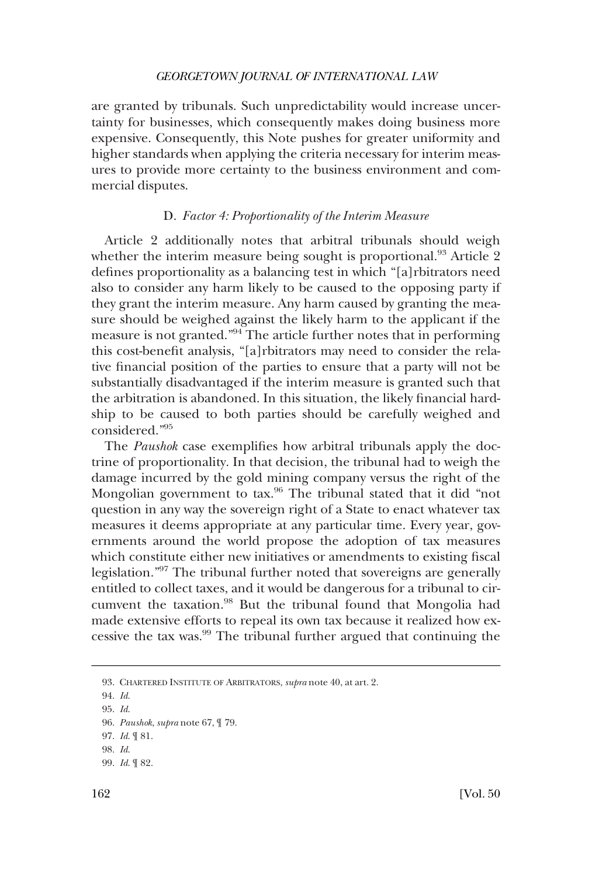<span id="page-19-0"></span>are granted by tribunals. Such unpredictability would increase uncertainty for businesses, which consequently makes doing business more expensive. Consequently, this Note pushes for greater uniformity and higher standards when applying the criteria necessary for interim measures to provide more certainty to the business environment and commercial disputes.

### D. *Factor 4: Proportionality of the Interim Measure*

Article 2 additionally notes that arbitral tribunals should weigh whether the interim measure being sought is proportional.<sup>93</sup> Article 2 defines proportionality as a balancing test in which "[a]rbitrators need also to consider any harm likely to be caused to the opposing party if they grant the interim measure. Any harm caused by granting the measure should be weighed against the likely harm to the applicant if the measure is not granted."94 The article further notes that in performing this cost-benefit analysis, "[a]rbitrators may need to consider the relative financial position of the parties to ensure that a party will not be substantially disadvantaged if the interim measure is granted such that the arbitration is abandoned. In this situation, the likely financial hardship to be caused to both parties should be carefully weighed and considered."95

The *Paushok* case exemplifies how arbitral tribunals apply the doctrine of proportionality. In that decision, the tribunal had to weigh the damage incurred by the gold mining company versus the right of the Mongolian government to tax.96 The tribunal stated that it did "not question in any way the sovereign right of a State to enact whatever tax measures it deems appropriate at any particular time. Every year, governments around the world propose the adoption of tax measures which constitute either new initiatives or amendments to existing fiscal legislation."97 The tribunal further noted that sovereigns are generally entitled to collect taxes, and it would be dangerous for a tribunal to circumvent the taxation.98 But the tribunal found that Mongolia had made extensive efforts to repeal its own tax because it realized how excessive the tax was.99 The tribunal further argued that continuing the

<sup>93.</sup> CHARTERED INSTITUTE OF ARBITRATORS, *supra* note 40, at art. 2.

<sup>94.</sup> *Id*.

<sup>95.</sup> *Id*.

<sup>96.</sup> *Paushok*, *supra* note 67, ¶ 79.

<sup>97.</sup> *Id*. ¶ 81.

<sup>98.</sup> *Id*.

<sup>99.</sup> *Id*. ¶ 82.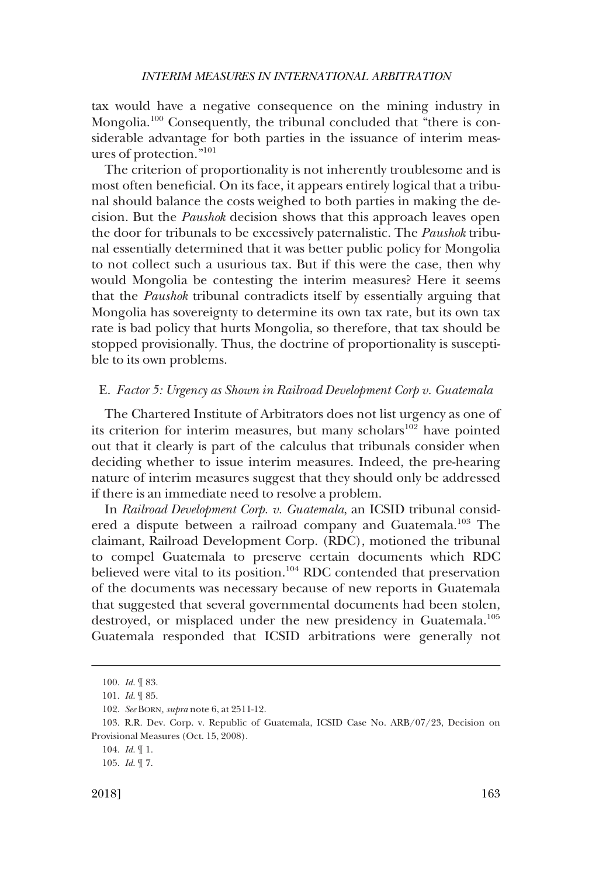<span id="page-20-0"></span>tax would have a negative consequence on the mining industry in Mongolia.<sup>100</sup> Consequently, the tribunal concluded that "there is considerable advantage for both parties in the issuance of interim measures of protection."<sup>101</sup>

The criterion of proportionality is not inherently troublesome and is most often beneficial. On its face, it appears entirely logical that a tribunal should balance the costs weighed to both parties in making the decision. But the *Paushok* decision shows that this approach leaves open the door for tribunals to be excessively paternalistic. The *Paushok* tribunal essentially determined that it was better public policy for Mongolia to not collect such a usurious tax. But if this were the case, then why would Mongolia be contesting the interim measures? Here it seems that the *Paushok* tribunal contradicts itself by essentially arguing that Mongolia has sovereignty to determine its own tax rate, but its own tax rate is bad policy that hurts Mongolia, so therefore, that tax should be stopped provisionally. Thus, the doctrine of proportionality is susceptible to its own problems.

# E. *Factor 5: Urgency as Shown in Railroad Development Corp v. Guatemala*

The Chartered Institute of Arbitrators does not list urgency as one of its criterion for interim measures, but many scholars<sup>102</sup> have pointed out that it clearly is part of the calculus that tribunals consider when deciding whether to issue interim measures. Indeed, the pre-hearing nature of interim measures suggest that they should only be addressed if there is an immediate need to resolve a problem.

In *Railroad Development Corp. v. Guatemala*, an ICSID tribunal considered a dispute between a railroad company and Guatemala.103 The claimant, Railroad Development Corp. (RDC), motioned the tribunal to compel Guatemala to preserve certain documents which RDC believed were vital to its position.<sup>104</sup> RDC contended that preservation of the documents was necessary because of new reports in Guatemala that suggested that several governmental documents had been stolen, destroyed, or misplaced under the new presidency in Guatemala.<sup>105</sup> Guatemala responded that ICSID arbitrations were generally not

<sup>100.</sup> *Id*. ¶ 83.

<sup>101.</sup> *Id*. ¶ 85.

<sup>102.</sup> *See* BORN*, supra* note 6, at 2511-12.

<sup>103.</sup> R.R. Dev. Corp. v. Republic of Guatemala, ICSID Case No. ARB/07/23, Decision on Provisional Measures (Oct. 15, 2008).

<sup>104.</sup> *Id*. ¶ 1.

<sup>105.</sup> *Id*. ¶ 7.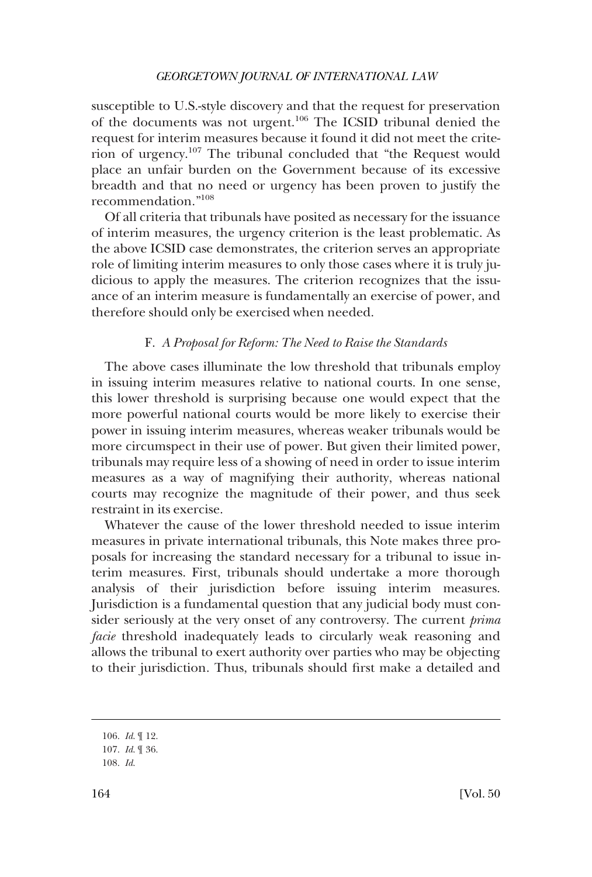<span id="page-21-0"></span>susceptible to U.S.-style discovery and that the request for preservation of the documents was not urgent.106 The ICSID tribunal denied the request for interim measures because it found it did not meet the criterion of urgency.107 The tribunal concluded that "the Request would place an unfair burden on the Government because of its excessive breadth and that no need or urgency has been proven to justify the recommendation."108

Of all criteria that tribunals have posited as necessary for the issuance of interim measures, the urgency criterion is the least problematic. As the above ICSID case demonstrates, the criterion serves an appropriate role of limiting interim measures to only those cases where it is truly judicious to apply the measures. The criterion recognizes that the issuance of an interim measure is fundamentally an exercise of power, and therefore should only be exercised when needed.

# F. *A Proposal for Reform: The Need to Raise the Standards*

The above cases illuminate the low threshold that tribunals employ in issuing interim measures relative to national courts. In one sense, this lower threshold is surprising because one would expect that the more powerful national courts would be more likely to exercise their power in issuing interim measures, whereas weaker tribunals would be more circumspect in their use of power. But given their limited power, tribunals may require less of a showing of need in order to issue interim measures as a way of magnifying their authority, whereas national courts may recognize the magnitude of their power, and thus seek restraint in its exercise.

Whatever the cause of the lower threshold needed to issue interim measures in private international tribunals, this Note makes three proposals for increasing the standard necessary for a tribunal to issue interim measures. First, tribunals should undertake a more thorough analysis of their jurisdiction before issuing interim measures. Jurisdiction is a fundamental question that any judicial body must consider seriously at the very onset of any controversy. The current *prima facie* threshold inadequately leads to circularly weak reasoning and allows the tribunal to exert authority over parties who may be objecting to their jurisdiction. Thus, tribunals should first make a detailed and

108. *Id*.

<sup>106.</sup> *Id*. ¶ 12.

<sup>107.</sup> *Id*. ¶ 36.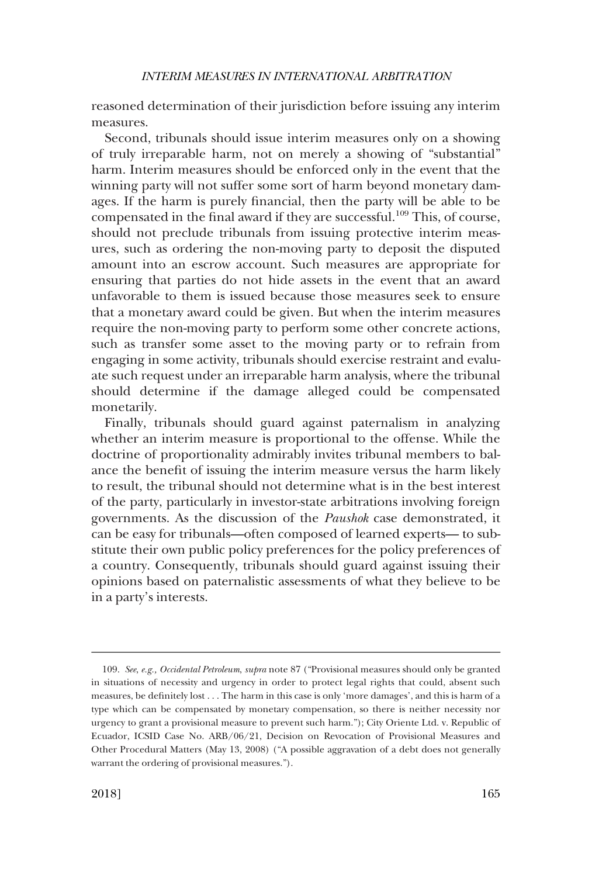reasoned determination of their jurisdiction before issuing any interim measures.

Second, tribunals should issue interim measures only on a showing of truly irreparable harm, not on merely a showing of "substantial" harm. Interim measures should be enforced only in the event that the winning party will not suffer some sort of harm beyond monetary damages. If the harm is purely financial, then the party will be able to be compensated in the final award if they are successful.109 This, of course, should not preclude tribunals from issuing protective interim measures, such as ordering the non-moving party to deposit the disputed amount into an escrow account. Such measures are appropriate for ensuring that parties do not hide assets in the event that an award unfavorable to them is issued because those measures seek to ensure that a monetary award could be given. But when the interim measures require the non-moving party to perform some other concrete actions, such as transfer some asset to the moving party or to refrain from engaging in some activity, tribunals should exercise restraint and evaluate such request under an irreparable harm analysis, where the tribunal should determine if the damage alleged could be compensated monetarily.

Finally, tribunals should guard against paternalism in analyzing whether an interim measure is proportional to the offense. While the doctrine of proportionality admirably invites tribunal members to balance the benefit of issuing the interim measure versus the harm likely to result, the tribunal should not determine what is in the best interest of the party, particularly in investor-state arbitrations involving foreign governments. As the discussion of the *Paushok* case demonstrated, it can be easy for tribunals—often composed of learned experts— to substitute their own public policy preferences for the policy preferences of a country. Consequently, tribunals should guard against issuing their opinions based on paternalistic assessments of what they believe to be in a party's interests.

<sup>109.</sup> *See*, *e.g., Occidental Petroleum*, *supra* note 87 ("Provisional measures should only be granted in situations of necessity and urgency in order to protect legal rights that could, absent such measures, be definitely lost . . . The harm in this case is only 'more damages', and this is harm of a type which can be compensated by monetary compensation, so there is neither necessity nor urgency to grant a provisional measure to prevent such harm."); City Oriente Ltd. v. Republic of Ecuador, ICSID Case No. ARB/06/21, Decision on Revocation of Provisional Measures and Other Procedural Matters (May 13, 2008) ("A possible aggravation of a debt does not generally warrant the ordering of provisional measures.").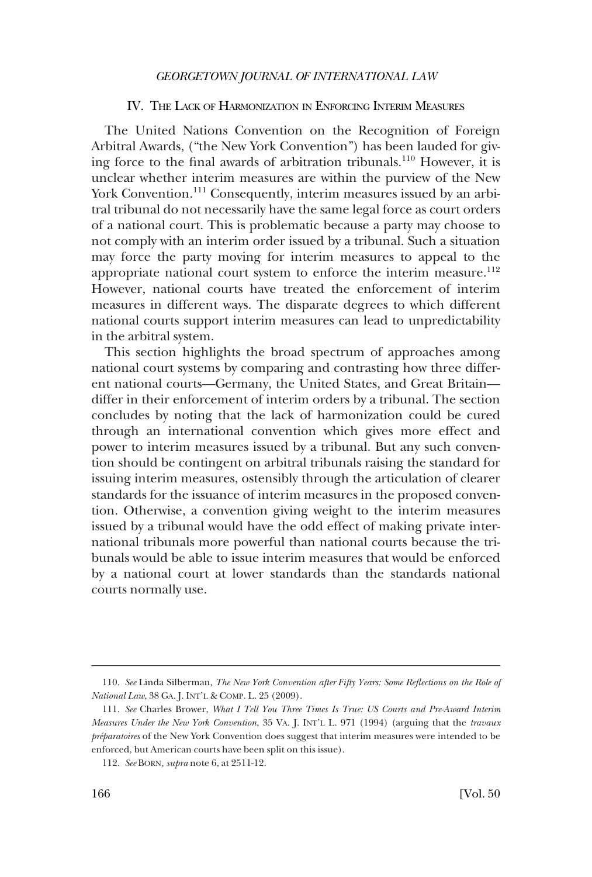#### IV. THE LACK OF HARMONIZATION IN ENFORCING INTERIM MEASURES

<span id="page-23-0"></span>The United Nations Convention on the Recognition of Foreign Arbitral Awards, ("the New York Convention") has been lauded for giving force to the final awards of arbitration tribunals.110 However, it is unclear whether interim measures are within the purview of the New York Convention.<sup>111</sup> Consequently, interim measures issued by an arbitral tribunal do not necessarily have the same legal force as court orders of a national court. This is problematic because a party may choose to not comply with an interim order issued by a tribunal. Such a situation may force the party moving for interim measures to appeal to the appropriate national court system to enforce the interim measure. $112$ However, national courts have treated the enforcement of interim measures in different ways. The disparate degrees to which different national courts support interim measures can lead to unpredictability in the arbitral system.

This section highlights the broad spectrum of approaches among national court systems by comparing and contrasting how three different national courts—Germany, the United States, and Great Britain differ in their enforcement of interim orders by a tribunal. The section concludes by noting that the lack of harmonization could be cured through an international convention which gives more effect and power to interim measures issued by a tribunal. But any such convention should be contingent on arbitral tribunals raising the standard for issuing interim measures, ostensibly through the articulation of clearer standards for the issuance of interim measures in the proposed convention. Otherwise, a convention giving weight to the interim measures issued by a tribunal would have the odd effect of making private international tribunals more powerful than national courts because the tribunals would be able to issue interim measures that would be enforced by a national court at lower standards than the standards national courts normally use.

<sup>110.</sup> *See* Linda Silberman, *The New York Convention after Fifty Years: Some Reflections on the Role of National Law*, 38 GA. J. INT'L & COMP. L. 25 (2009).

<sup>111.</sup> *See* Charles Brower, *What I Tell You Three Times Is True: US Courts and Pre-Award Interim Measures Under the New York Convention*, 35 VA. J. INT'L L. 971 (1994) (arguing that the *travaux pre´paratoires* of the New York Convention does suggest that interim measures were intended to be enforced, but American courts have been split on this issue).

<sup>112.</sup> *See* BORN*, supra* note 6, at 2511-12.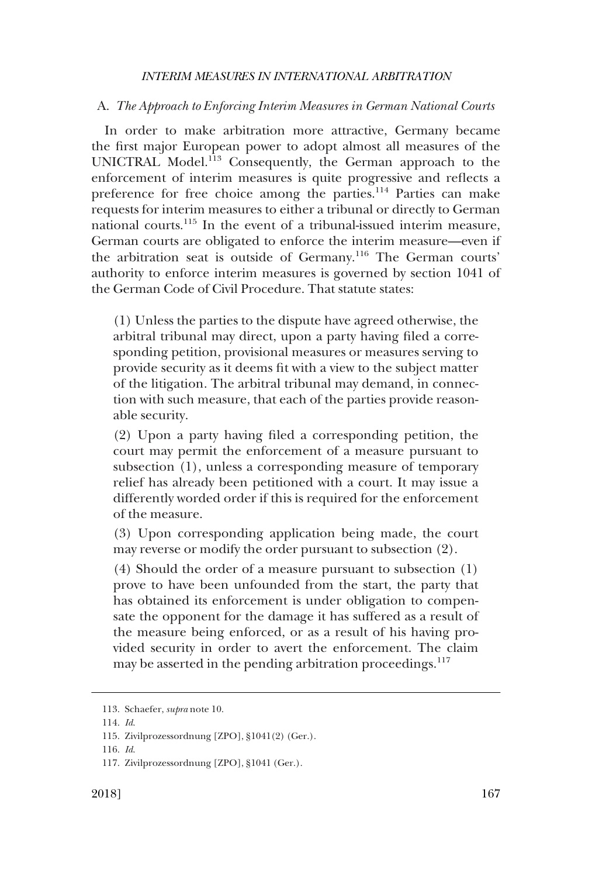#### <span id="page-24-0"></span>A. *The Approach to Enforcing Interim Measures in German National Courts*

In order to make arbitration more attractive, Germany became the first major European power to adopt almost all measures of the UNICTRAL Model.<sup>113</sup> Consequently, the German approach to the enforcement of interim measures is quite progressive and reflects a preference for free choice among the parties.114 Parties can make requests for interim measures to either a tribunal or directly to German national courts.<sup>115</sup> In the event of a tribunal-issued interim measure, German courts are obligated to enforce the interim measure—even if the arbitration seat is outside of Germany.116 The German courts' authority to enforce interim measures is governed by section 1041 of the German Code of Civil Procedure. That statute states:

(1) Unless the parties to the dispute have agreed otherwise, the arbitral tribunal may direct, upon a party having filed a corresponding petition, provisional measures or measures serving to provide security as it deems fit with a view to the subject matter of the litigation. The arbitral tribunal may demand, in connection with such measure, that each of the parties provide reasonable security.

(2) Upon a party having filed a corresponding petition, the court may permit the enforcement of a measure pursuant to subsection (1), unless a corresponding measure of temporary relief has already been petitioned with a court. It may issue a differently worded order if this is required for the enforcement of the measure.

(3) Upon corresponding application being made, the court may reverse or modify the order pursuant to subsection (2).

(4) Should the order of a measure pursuant to subsection (1) prove to have been unfounded from the start, the party that has obtained its enforcement is under obligation to compensate the opponent for the damage it has suffered as a result of the measure being enforced, or as a result of his having provided security in order to avert the enforcement. The claim may be asserted in the pending arbitration proceedings.<sup>117</sup>

<sup>113.</sup> Schaefer, *supra* note 10.

<sup>114.</sup> *Id*.

<sup>115.</sup> Zivilprozessordnung [ZPO], §1041(2) (Ger.).

<sup>116.</sup> *Id*.

<sup>117.</sup> Zivilprozessordnung [ZPO], §1041 (Ger.).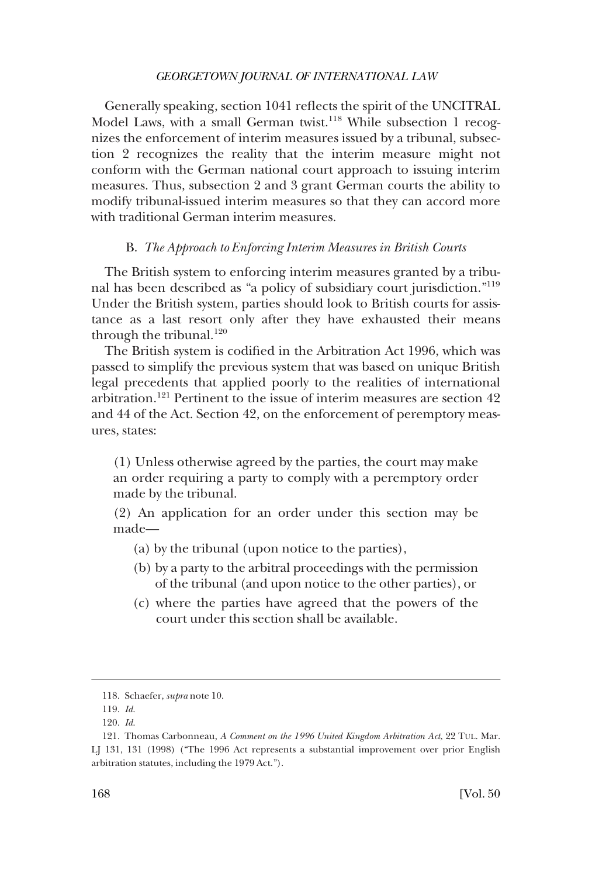<span id="page-25-0"></span>Generally speaking, section 1041 reflects the spirit of the UNCITRAL Model Laws, with a small German twist.<sup>118</sup> While subsection 1 recognizes the enforcement of interim measures issued by a tribunal, subsection 2 recognizes the reality that the interim measure might not conform with the German national court approach to issuing interim measures. Thus, subsection 2 and 3 grant German courts the ability to modify tribunal-issued interim measures so that they can accord more with traditional German interim measures.

#### B. *The Approach to Enforcing Interim Measures in British Courts*

The British system to enforcing interim measures granted by a tribunal has been described as "a policy of subsidiary court jurisdiction."<sup>119</sup> Under the British system, parties should look to British courts for assistance as a last resort only after they have exhausted their means through the tribunal. $120$ 

The British system is codified in the Arbitration Act 1996, which was passed to simplify the previous system that was based on unique British legal precedents that applied poorly to the realities of international arbitration.121 Pertinent to the issue of interim measures are section 42 and 44 of the Act. Section 42, on the enforcement of peremptory measures, states:

(1) Unless otherwise agreed by the parties, the court may make an order requiring a party to comply with a peremptory order made by the tribunal.

(2) An application for an order under this section may be made—

- (a) by the tribunal (upon notice to the parties),
- (b) by a party to the arbitral proceedings with the permission of the tribunal (and upon notice to the other parties), or
- (c) where the parties have agreed that the powers of the court under this section shall be available.

<sup>118.</sup> Schaefer, *supra* note 10.

<sup>119.</sup> *Id*.

<sup>120.</sup> *Id*.

<sup>121.</sup> Thomas Carbonneau, *A Comment on the 1996 United Kingdom Arbitration Act*, 22 TUL. Mar. LJ 131, 131 (1998) ("The 1996 Act represents a substantial improvement over prior English arbitration statutes, including the 1979 Act.").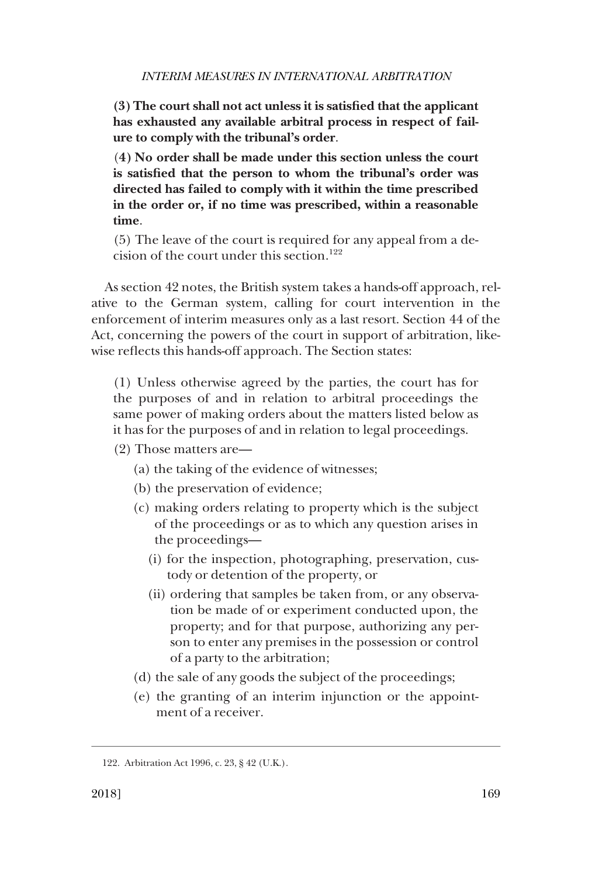**(3) The court shall not act unless it is satisfied that the applicant has exhausted any available arbitral process in respect of failure to comply with the tribunal's order**.

(**4) No order shall be made under this section unless the court is satisfied that the person to whom the tribunal's order was directed has failed to comply with it within the time prescribed in the order or, if no time was prescribed, within a reasonable time**.

(5) The leave of the court is required for any appeal from a decision of the court under this section.<sup>122</sup>

As section 42 notes, the British system takes a hands-off approach, relative to the German system, calling for court intervention in the enforcement of interim measures only as a last resort. Section 44 of the Act, concerning the powers of the court in support of arbitration, likewise reflects this hands-off approach. The Section states:

(1) Unless otherwise agreed by the parties, the court has for the purposes of and in relation to arbitral proceedings the same power of making orders about the matters listed below as it has for the purposes of and in relation to legal proceedings.

- (2) Those matters are—
	- (a) the taking of the evidence of witnesses;
	- (b) the preservation of evidence;
	- (c) making orders relating to property which is the subject of the proceedings or as to which any question arises in the proceedings—
		- (i) for the inspection, photographing, preservation, custody or detention of the property, or
		- (ii) ordering that samples be taken from, or any observation be made of or experiment conducted upon, the property; and for that purpose, authorizing any person to enter any premises in the possession or control of a party to the arbitration;
	- (d) the sale of any goods the subject of the proceedings;
	- (e) the granting of an interim injunction or the appointment of a receiver.

<sup>122.</sup> Arbitration Act 1996, c. 23, § 42 (U.K.).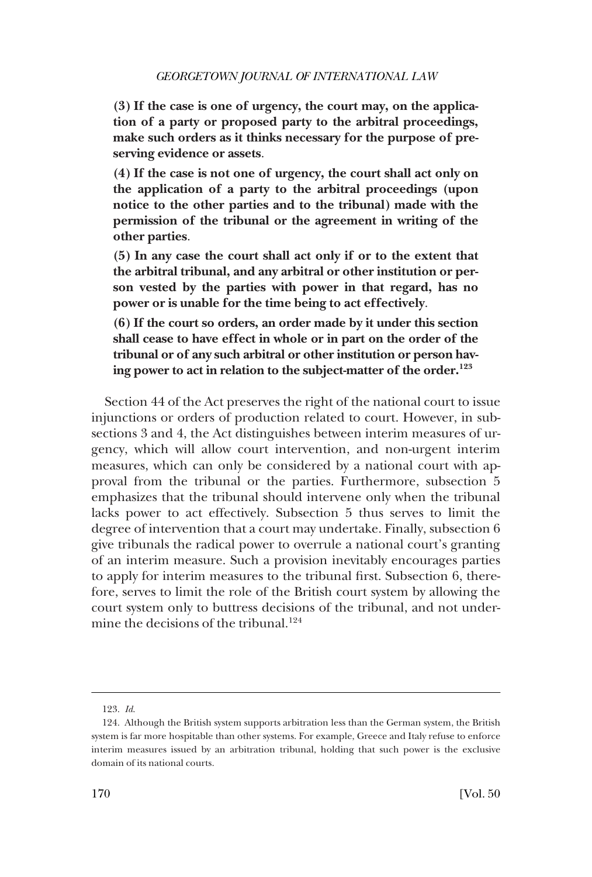**(3) If the case is one of urgency, the court may, on the application of a party or proposed party to the arbitral proceedings, make such orders as it thinks necessary for the purpose of preserving evidence or assets**.

**(4) If the case is not one of urgency, the court shall act only on the application of a party to the arbitral proceedings (upon notice to the other parties and to the tribunal) made with the permission of the tribunal or the agreement in writing of the other parties**.

**(5) In any case the court shall act only if or to the extent that the arbitral tribunal, and any arbitral or other institution or person vested by the parties with power in that regard, has no power or is unable for the time being to act effectively**.

**(6) If the court so orders, an order made by it under this section shall cease to have effect in whole or in part on the order of the tribunal or of any such arbitral or other institution or person having power to act in relation to the subject-matter of the order.123** 

Section 44 of the Act preserves the right of the national court to issue injunctions or orders of production related to court. However, in subsections 3 and 4, the Act distinguishes between interim measures of urgency, which will allow court intervention, and non-urgent interim measures, which can only be considered by a national court with approval from the tribunal or the parties. Furthermore, subsection 5 emphasizes that the tribunal should intervene only when the tribunal lacks power to act effectively. Subsection 5 thus serves to limit the degree of intervention that a court may undertake. Finally, subsection 6 give tribunals the radical power to overrule a national court's granting of an interim measure. Such a provision inevitably encourages parties to apply for interim measures to the tribunal first. Subsection 6, therefore, serves to limit the role of the British court system by allowing the court system only to buttress decisions of the tribunal, and not undermine the decisions of the tribunal.<sup>124</sup>

<sup>123.</sup> *Id*.

<sup>124.</sup> Although the British system supports arbitration less than the German system, the British system is far more hospitable than other systems. For example, Greece and Italy refuse to enforce interim measures issued by an arbitration tribunal, holding that such power is the exclusive domain of its national courts.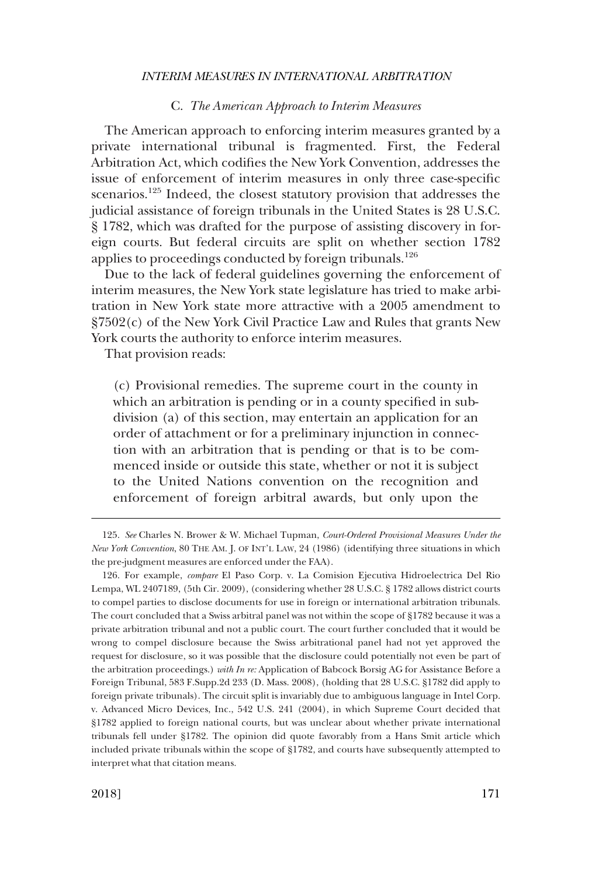#### C. *The American Approach to Interim Measures*

<span id="page-28-0"></span>The American approach to enforcing interim measures granted by a private international tribunal is fragmented. First, the Federal Arbitration Act, which codifies the New York Convention, addresses the issue of enforcement of interim measures in only three case-specific scenarios.<sup>125</sup> Indeed, the closest statutory provision that addresses the judicial assistance of foreign tribunals in the United States is 28 U.S.C. § 1782, which was drafted for the purpose of assisting discovery in foreign courts. But federal circuits are split on whether section 1782 applies to proceedings conducted by foreign tribunals.<sup>126</sup>

Due to the lack of federal guidelines governing the enforcement of interim measures, the New York state legislature has tried to make arbitration in New York state more attractive with a 2005 amendment to §7502(c) of the New York Civil Practice Law and Rules that grants New York courts the authority to enforce interim measures.

That provision reads:

(c) Provisional remedies. The supreme court in the county in which an arbitration is pending or in a county specified in subdivision (a) of this section, may entertain an application for an order of attachment or for a preliminary injunction in connection with an arbitration that is pending or that is to be commenced inside or outside this state, whether or not it is subject to the United Nations convention on the recognition and enforcement of foreign arbitral awards, but only upon the

<sup>125.</sup> *See* Charles N. Brower & W. Michael Tupman, *Court-Ordered Provisional Measures Under the New York Convention*, 80 THE AM. J. OF INT'L LAW, 24 (1986) (identifying three situations in which the pre-judgment measures are enforced under the FAA).

<sup>126.</sup> For example, *compare* El Paso Corp. v. La Comision Ejecutiva Hidroelectrica Del Rio Lempa, WL 2407189, (5th Cir. 2009), (considering whether 28 U.S.C. § 1782 allows district courts to compel parties to disclose documents for use in foreign or international arbitration tribunals. The court concluded that a Swiss arbitral panel was not within the scope of §1782 because it was a private arbitration tribunal and not a public court. The court further concluded that it would be wrong to compel disclosure because the Swiss arbitrational panel had not yet approved the request for disclosure, so it was possible that the disclosure could potentially not even be part of the arbitration proceedings.) *with In re:* Application of Babcock Borsig AG for Assistance Before a Foreign Tribunal, 583 F.Supp.2d 233 (D. Mass. 2008), (holding that 28 U.S.C. §1782 did apply to foreign private tribunals). The circuit split is invariably due to ambiguous language in Intel Corp. v. Advanced Micro Devices, Inc., 542 U.S. 241 (2004), in which Supreme Court decided that §1782 applied to foreign national courts, but was unclear about whether private international tribunals fell under §1782. The opinion did quote favorably from a Hans Smit article which included private tribunals within the scope of §1782, and courts have subsequently attempted to interpret what that citation means.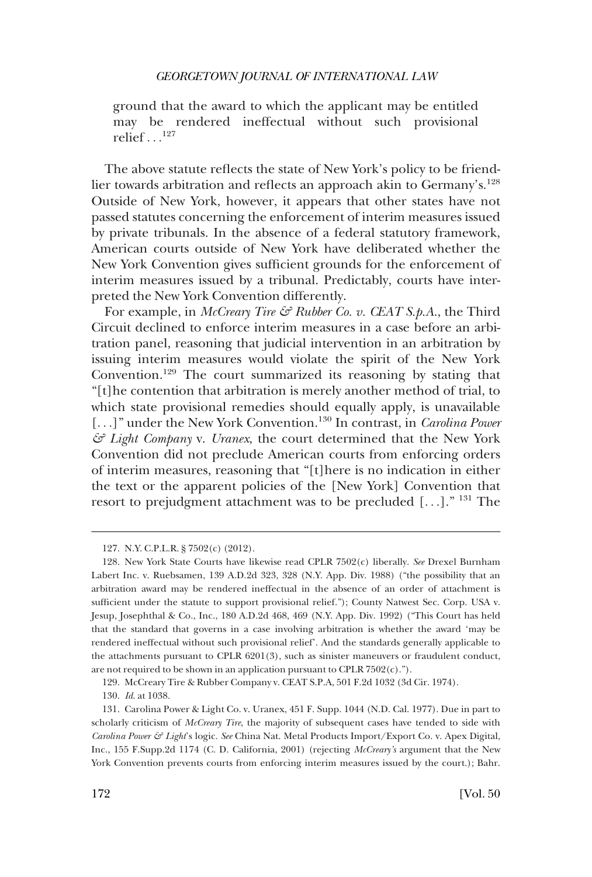ground that the award to which the applicant may be entitled may be rendered ineffectual without such provisional relief  $\ldots$ <sup>127</sup>

The above statute reflects the state of New York's policy to be friendlier towards arbitration and reflects an approach akin to Germany's.<sup>128</sup> Outside of New York, however, it appears that other states have not passed statutes concerning the enforcement of interim measures issued by private tribunals. In the absence of a federal statutory framework, American courts outside of New York have deliberated whether the New York Convention gives sufficient grounds for the enforcement of interim measures issued by a tribunal. Predictably, courts have interpreted the New York Convention differently.

For example, in *McCreary Tire & Rubber Co. v. CEAT S.p.A.*, the Third Circuit declined to enforce interim measures in a case before an arbitration panel, reasoning that judicial intervention in an arbitration by issuing interim measures would violate the spirit of the New York Convention.129 The court summarized its reasoning by stating that "[t]he contention that arbitration is merely another method of trial, to which state provisional remedies should equally apply, is unavailable [...]" under the New York Convention.<sup>130</sup> In contrast, in *Carolina Power & Light Company* v. *Uranex*, the court determined that the New York Convention did not preclude American courts from enforcing orders of interim measures, reasoning that "[t]here is no indication in either the text or the apparent policies of the [New York] Convention that resort to prejudgment attachment was to be precluded [. . .]." 131 The

<sup>127.</sup> N.Y. C.P.L.R. § 7502(c) (2012).

<sup>128.</sup> New York State Courts have likewise read CPLR 7502(c) liberally. *See* Drexel Burnham Labert Inc. v. Ruebsamen, 139 A.D.2d 323, 328 (N.Y. App. Div. 1988) ("the possibility that an arbitration award may be rendered ineffectual in the absence of an order of attachment is sufficient under the statute to support provisional relief."); County Natwest Sec. Corp. USA v. Jesup, Josephthal & Co., Inc., 180 A.D.2d 468, 469 (N.Y. App. Div. 1992) ("This Court has held that the standard that governs in a case involving arbitration is whether the award 'may be rendered ineffectual without such provisional relief'. And the standards generally applicable to the attachments pursuant to CPLR 6201(3), such as sinister maneuvers or fraudulent conduct, are not required to be shown in an application pursuant to CPLR  $7502(c)$ .").

<sup>129.</sup> McCreary Tire & Rubber Company v. CEAT S.P.A, 501 F.2d 1032 (3d Cir. 1974).

<sup>130.</sup> *Id*. at 1038.

<sup>131.</sup> Carolina Power & Light Co. v. Uranex, 451 F. Supp. 1044 (N.D. Cal. 1977). Due in part to scholarly criticism of *McCreary Tire*, the majority of subsequent cases have tended to side with *Carolina Power & Light*'s logic. *See* China Nat. Metal Products Import/Export Co. v. Apex Digital, Inc., 155 F.Supp.2d 1174 (C. D. California, 2001) (rejecting *McCreary's* argument that the New York Convention prevents courts from enforcing interim measures issued by the court.); Bahr.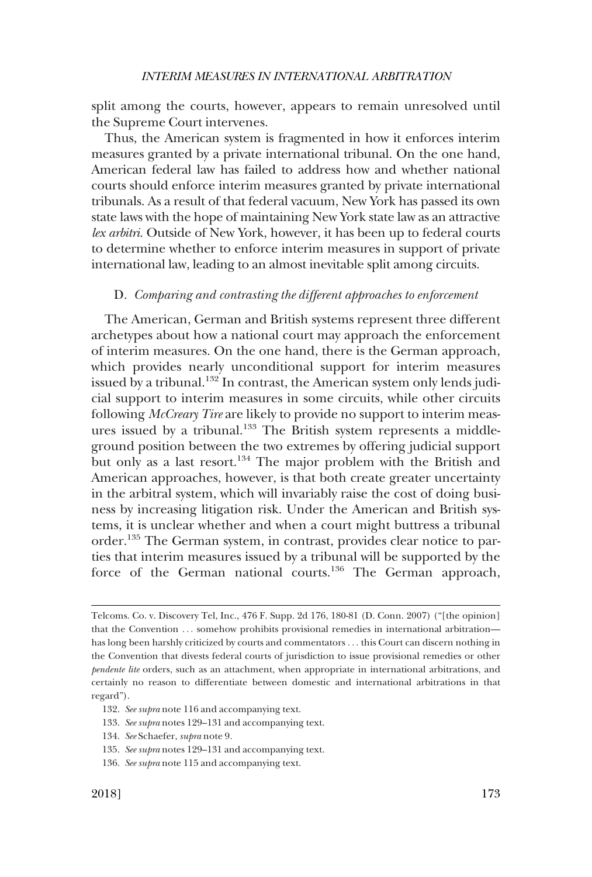<span id="page-30-0"></span>split among the courts, however, appears to remain unresolved until the Supreme Court intervenes.

Thus, the American system is fragmented in how it enforces interim measures granted by a private international tribunal. On the one hand, American federal law has failed to address how and whether national courts should enforce interim measures granted by private international tribunals. As a result of that federal vacuum, New York has passed its own state laws with the hope of maintaining New York state law as an attractive *lex arbitri*. Outside of New York, however, it has been up to federal courts to determine whether to enforce interim measures in support of private international law, leading to an almost inevitable split among circuits.

#### D. *Comparing and contrasting the different approaches to enforcement*

The American, German and British systems represent three different archetypes about how a national court may approach the enforcement of interim measures. On the one hand, there is the German approach, which provides nearly unconditional support for interim measures issued by a tribunal.<sup>132</sup> In contrast, the American system only lends judicial support to interim measures in some circuits, while other circuits following *McCreary Tire* are likely to provide no support to interim measures issued by a tribunal.<sup>133</sup> The British system represents a middleground position between the two extremes by offering judicial support but only as a last resort.<sup>134</sup> The major problem with the British and American approaches, however, is that both create greater uncertainty in the arbitral system, which will invariably raise the cost of doing business by increasing litigation risk. Under the American and British systems, it is unclear whether and when a court might buttress a tribunal order.135 The German system, in contrast, provides clear notice to parties that interim measures issued by a tribunal will be supported by the force of the German national courts.<sup>136</sup> The German approach,

- 132. *See supra* note 116 and accompanying text.
- 133. *See supra* notes 129–131 and accompanying text.
- 134. *See* Schaefer, *supra* note 9.
- 135. *See supra* notes 129–131 and accompanying text.
- 136. *See supra* note 115 and accompanying text.

Telcoms. Co. v. Discovery Tel, Inc., 476 F. Supp. 2d 176, 180-81 (D. Conn. 2007) ("[the opinion] that the Convention ... somehow prohibits provisional remedies in international arbitration has long been harshly criticized by courts and commentators . . . this Court can discern nothing in the Convention that divests federal courts of jurisdiction to issue provisional remedies or other *pendente lite* orders, such as an attachment, when appropriate in international arbitrations, and certainly no reason to differentiate between domestic and international arbitrations in that regard").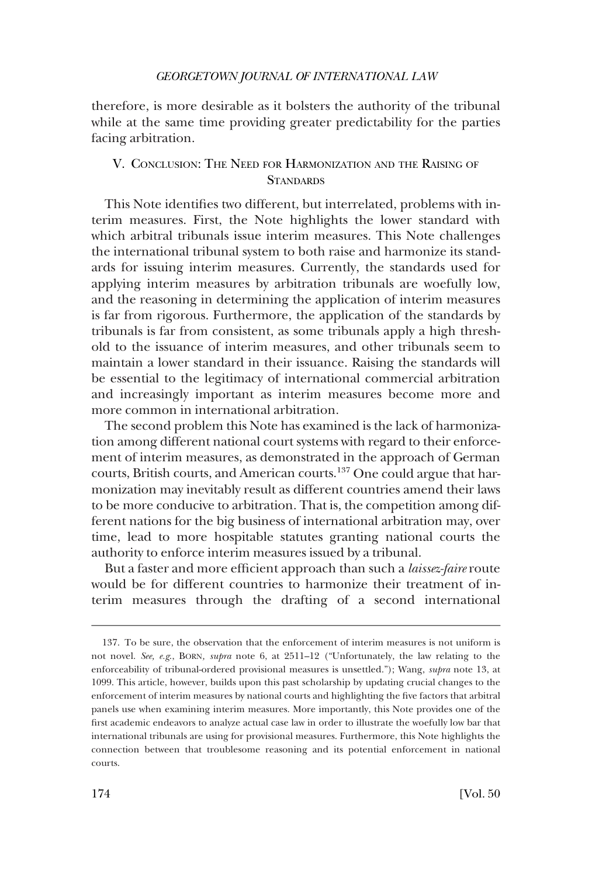<span id="page-31-0"></span>therefore, is more desirable as it bolsters the authority of the tribunal while at the same time providing greater predictability for the parties facing arbitration.

# V. CONCLUSION: THE NEED FOR HARMONIZATION AND THE RAISING OF **STANDARDS**

This Note identifies two different, but interrelated, problems with interim measures. First, the Note highlights the lower standard with which arbitral tribunals issue interim measures. This Note challenges the international tribunal system to both raise and harmonize its standards for issuing interim measures. Currently, the standards used for applying interim measures by arbitration tribunals are woefully low, and the reasoning in determining the application of interim measures is far from rigorous. Furthermore, the application of the standards by tribunals is far from consistent, as some tribunals apply a high threshold to the issuance of interim measures, and other tribunals seem to maintain a lower standard in their issuance. Raising the standards will be essential to the legitimacy of international commercial arbitration and increasingly important as interim measures become more and more common in international arbitration.

The second problem this Note has examined is the lack of harmonization among different national court systems with regard to their enforcement of interim measures, as demonstrated in the approach of German courts, British courts, and American courts.137 One could argue that harmonization may inevitably result as different countries amend their laws to be more conducive to arbitration. That is, the competition among different nations for the big business of international arbitration may, over time, lead to more hospitable statutes granting national courts the authority to enforce interim measures issued by a tribunal.

But a faster and more efficient approach than such a *laissez-faire* route would be for different countries to harmonize their treatment of interim measures through the drafting of a second international

<sup>137.</sup> To be sure, the observation that the enforcement of interim measures is not uniform is not novel. *See, e.g*., BORN*, supra* note 6, at 2511–12 ("Unfortunately, the law relating to the enforceability of tribunal-ordered provisional measures is unsettled."); Wang, *supra* note 13, at 1099. This article, however, builds upon this past scholarship by updating crucial changes to the enforcement of interim measures by national courts and highlighting the five factors that arbitral panels use when examining interim measures. More importantly, this Note provides one of the first academic endeavors to analyze actual case law in order to illustrate the woefully low bar that international tribunals are using for provisional measures. Furthermore, this Note highlights the connection between that troublesome reasoning and its potential enforcement in national courts.